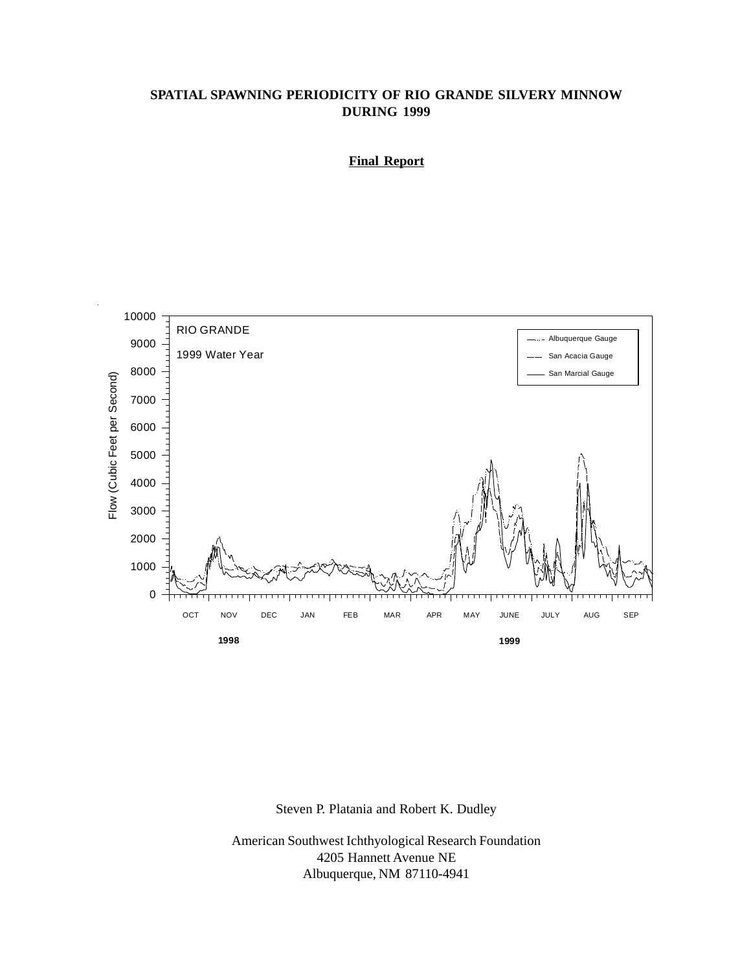# **SPATIAL SPAWNING PERIODICITY OF RIO GRANDE SILVERY MINNOW DURING 1999**

**Final Report**



Steven P. Platania and Robert K. Dudley

American Southwest Ichthyological Research Foundation 4205 Hannett Avenue NE Albuquerque, NM 87110-4941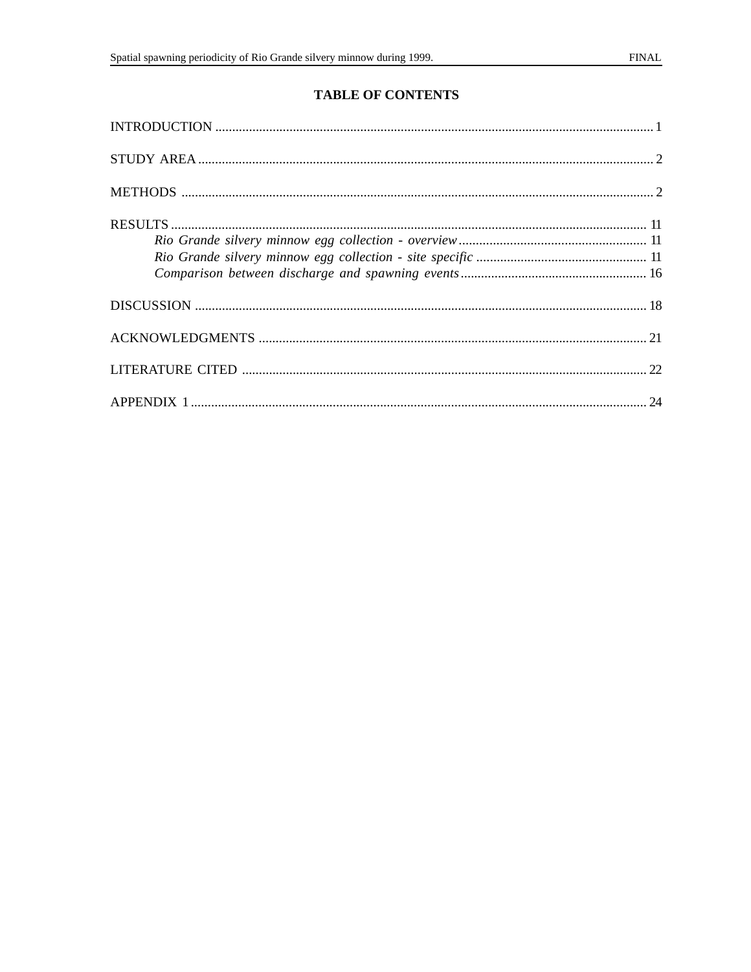# **TABLE OF CONTENTS**

| $\textbf{INTRODUCTION} \textit{} \textit{} \textit{} \textit{} \textit{} \textit{} \textit{} \textit{} \textit{} \textit{} \textit{} \textit{} \textit{} \textit{} \textit{} \textit{} \textit{} \textit{} \textit{} \textit{} \textit{} \textit{} \textit{} \textit{} \textit{} \textit{} \textit{} \textit{} \textit{} \textit{} \textit{} \textit{} \textit{} \textit{} \textit{} \textit$ |  |
|-----------------------------------------------------------------------------------------------------------------------------------------------------------------------------------------------------------------------------------------------------------------------------------------------------------------------------------------------------------------------------------------------|--|
|                                                                                                                                                                                                                                                                                                                                                                                               |  |
|                                                                                                                                                                                                                                                                                                                                                                                               |  |
|                                                                                                                                                                                                                                                                                                                                                                                               |  |
|                                                                                                                                                                                                                                                                                                                                                                                               |  |
|                                                                                                                                                                                                                                                                                                                                                                                               |  |
|                                                                                                                                                                                                                                                                                                                                                                                               |  |
|                                                                                                                                                                                                                                                                                                                                                                                               |  |
|                                                                                                                                                                                                                                                                                                                                                                                               |  |
|                                                                                                                                                                                                                                                                                                                                                                                               |  |
|                                                                                                                                                                                                                                                                                                                                                                                               |  |
|                                                                                                                                                                                                                                                                                                                                                                                               |  |
|                                                                                                                                                                                                                                                                                                                                                                                               |  |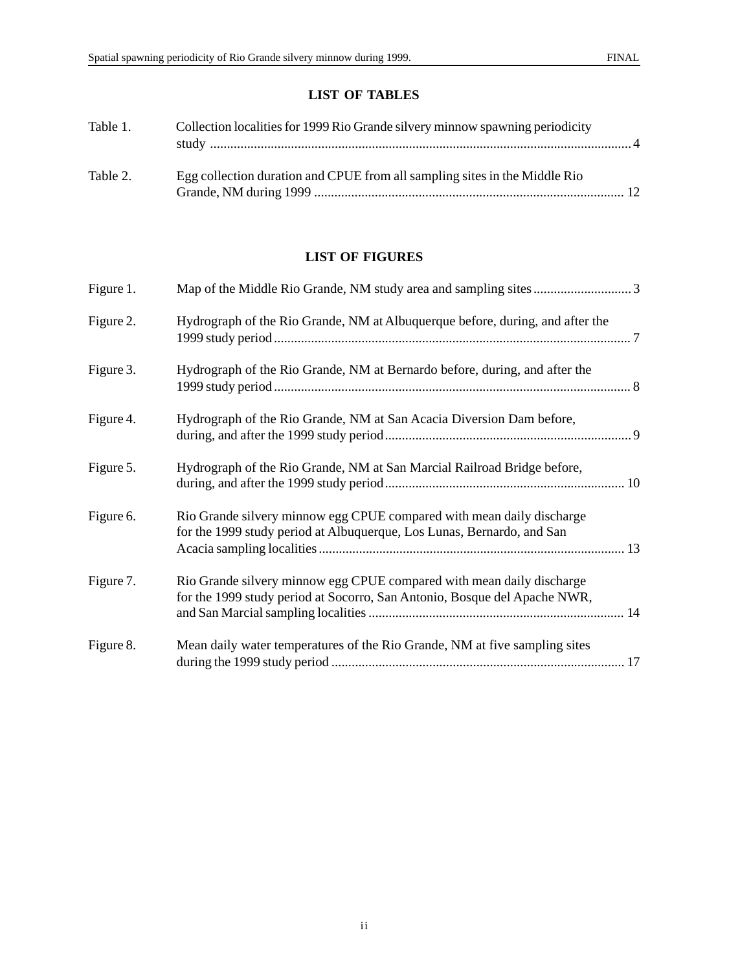# **LIST OF TABLES**

| Table 1. | Collection localities for 1999 Rio Grande silvery minnow spawning periodicity |  |
|----------|-------------------------------------------------------------------------------|--|
|          |                                                                               |  |
| Table 2. | Egg collection duration and CPUE from all sampling sites in the Middle Rio    |  |

# **LIST OF FIGURES**

| Figure 1. |                                                                                                                                                    |  |
|-----------|----------------------------------------------------------------------------------------------------------------------------------------------------|--|
| Figure 2. | Hydrograph of the Rio Grande, NM at Albuquerque before, during, and after the                                                                      |  |
| Figure 3. | Hydrograph of the Rio Grande, NM at Bernardo before, during, and after the                                                                         |  |
| Figure 4. | Hydrograph of the Rio Grande, NM at San Acacia Diversion Dam before,                                                                               |  |
| Figure 5. | Hydrograph of the Rio Grande, NM at San Marcial Railroad Bridge before,                                                                            |  |
| Figure 6. | Rio Grande silvery minnow egg CPUE compared with mean daily discharge<br>for the 1999 study period at Albuquerque, Los Lunas, Bernardo, and San    |  |
| Figure 7. | Rio Grande silvery minnow egg CPUE compared with mean daily discharge<br>for the 1999 study period at Socorro, San Antonio, Bosque del Apache NWR, |  |
| Figure 8. | Mean daily water temperatures of the Rio Grande, NM at five sampling sites                                                                         |  |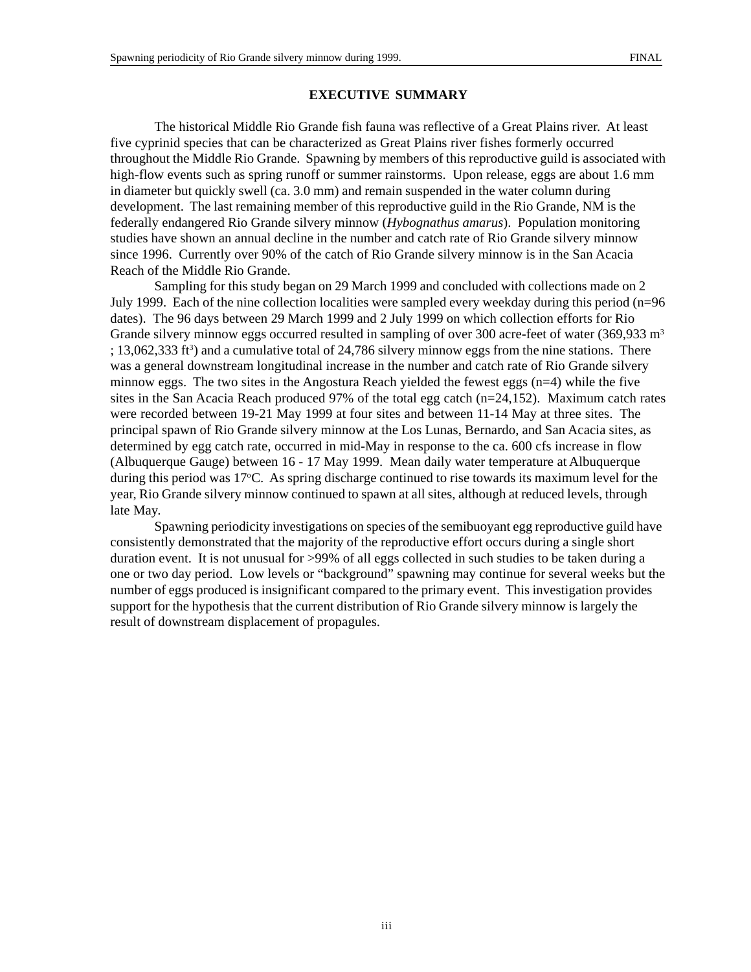#### **EXECUTIVE SUMMARY**

The historical Middle Rio Grande fish fauna was reflective of a Great Plains river. At least five cyprinid species that can be characterized as Great Plains river fishes formerly occurred throughout the Middle Rio Grande. Spawning by members of this reproductive guild is associated with high-flow events such as spring runoff or summer rainstorms. Upon release, eggs are about 1.6 mm in diameter but quickly swell (ca. 3.0 mm) and remain suspended in the water column during development. The last remaining member of this reproductive guild in the Rio Grande, NM is the federally endangered Rio Grande silvery minnow (*Hybognathus amarus*). Population monitoring studies have shown an annual decline in the number and catch rate of Rio Grande silvery minnow since 1996. Currently over 90% of the catch of Rio Grande silvery minnow is in the San Acacia Reach of the Middle Rio Grande.

Sampling for this study began on 29 March 1999 and concluded with collections made on 2 July 1999. Each of the nine collection localities were sampled every weekday during this period (n=96 dates). The 96 days between 29 March 1999 and 2 July 1999 on which collection efforts for Rio Grande silvery minnow eggs occurred resulted in sampling of over 300 acre-feet of water  $(369,933 \text{ m}^3)$ ; 13,062,333 ft<sup>3</sup>) and a cumulative total of 24,786 silvery minnow eggs from the nine stations. There was a general downstream longitudinal increase in the number and catch rate of Rio Grande silvery minnow eggs. The two sites in the Angostura Reach yielded the fewest eggs  $(n=4)$  while the five sites in the San Acacia Reach produced 97% of the total egg catch (n=24,152). Maximum catch rates were recorded between 19-21 May 1999 at four sites and between 11-14 May at three sites. The principal spawn of Rio Grande silvery minnow at the Los Lunas, Bernardo, and San Acacia sites, as determined by egg catch rate, occurred in mid-May in response to the ca. 600 cfs increase in flow (Albuquerque Gauge) between 16 - 17 May 1999. Mean daily water temperature at Albuquerque during this period was 17°C. As spring discharge continued to rise towards its maximum level for the year, Rio Grande silvery minnow continued to spawn at all sites, although at reduced levels, through late May.

Spawning periodicity investigations on species of the semibuoyant egg reproductive guild have consistently demonstrated that the majority of the reproductive effort occurs during a single short duration event. It is not unusual for >99% of all eggs collected in such studies to be taken during a one or two day period. Low levels or "background" spawning may continue for several weeks but the number of eggs produced is insignificant compared to the primary event. This investigation provides support for the hypothesis that the current distribution of Rio Grande silvery minnow is largely the result of downstream displacement of propagules.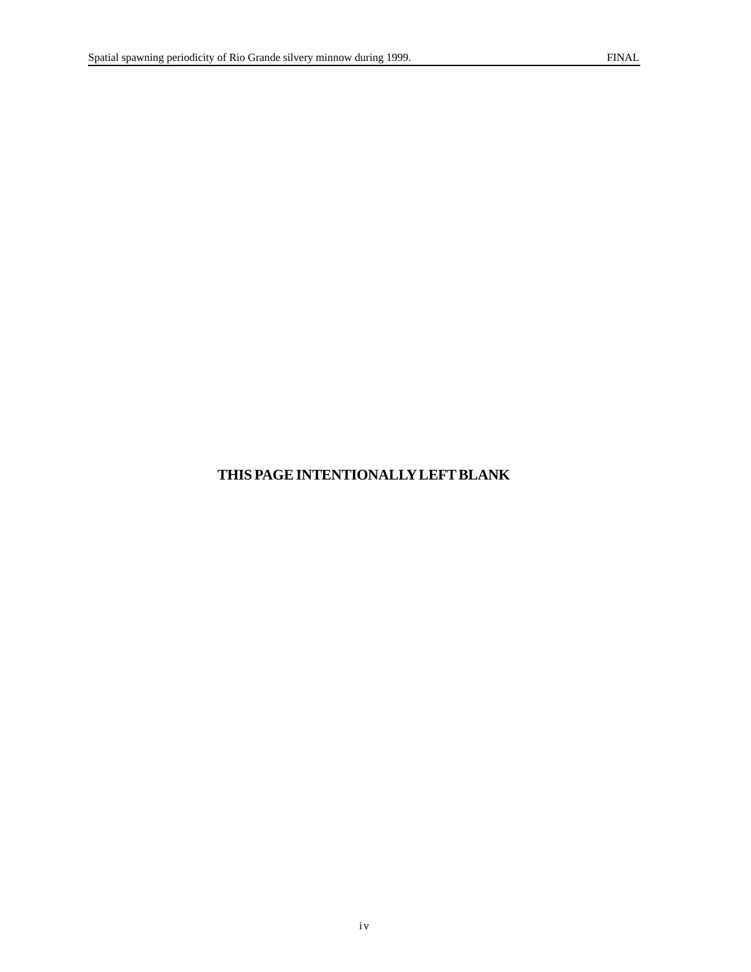# **THIS PAGE INTENTIONALLY LEFT BLANK**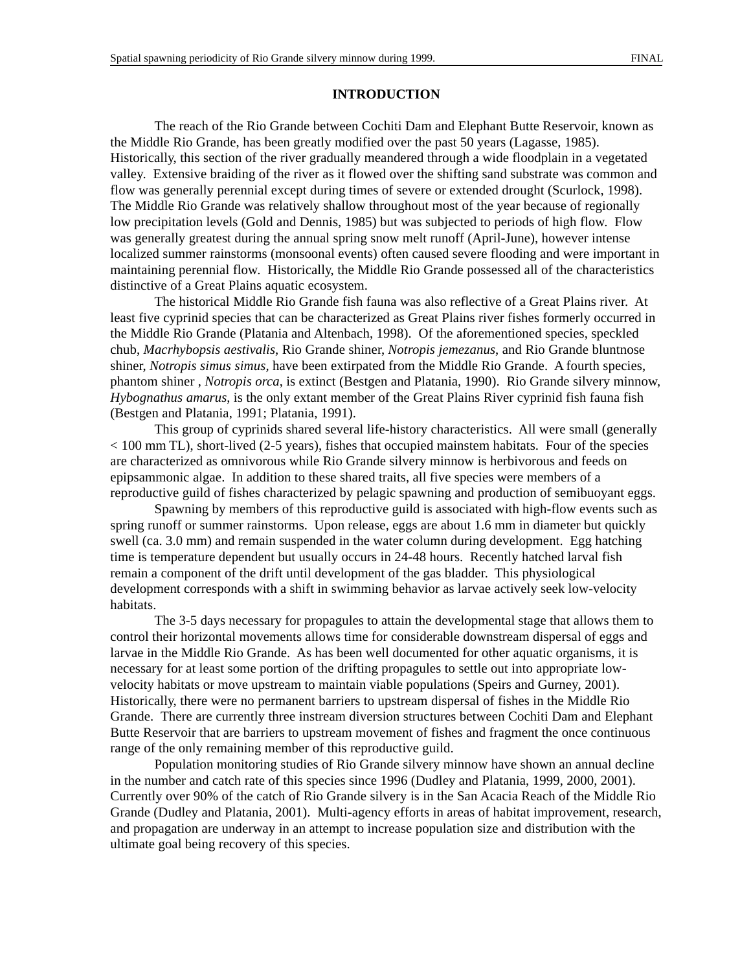#### **INTRODUCTION**

The reach of the Rio Grande between Cochiti Dam and Elephant Butte Reservoir, known as the Middle Rio Grande, has been greatly modified over the past 50 years (Lagasse, 1985). Historically, this section of the river gradually meandered through a wide floodplain in a vegetated valley. Extensive braiding of the river as it flowed over the shifting sand substrate was common and flow was generally perennial except during times of severe or extended drought (Scurlock, 1998). The Middle Rio Grande was relatively shallow throughout most of the year because of regionally low precipitation levels (Gold and Dennis, 1985) but was subjected to periods of high flow. Flow was generally greatest during the annual spring snow melt runoff (April-June), however intense localized summer rainstorms (monsoonal events) often caused severe flooding and were important in maintaining perennial flow. Historically, the Middle Rio Grande possessed all of the characteristics distinctive of a Great Plains aquatic ecosystem.

The historical Middle Rio Grande fish fauna was also reflective of a Great Plains river. At least five cyprinid species that can be characterized as Great Plains river fishes formerly occurred in the Middle Rio Grande (Platania and Altenbach, 1998). Of the aforementioned species, speckled chub, *Macrhybopsis aestivalis*, Rio Grande shiner, *Notropis jemezanus*, and Rio Grande bluntnose shiner, *Notropis simus simus,* have been extirpated from the Middle Rio Grande. A fourth species, phantom shiner , *Notropis orca*, is extinct (Bestgen and Platania, 1990). Rio Grande silvery minnow, *Hybognathus amarus*, is the only extant member of the Great Plains River cyprinid fish fauna fish (Bestgen and Platania, 1991; Platania, 1991).

This group of cyprinids shared several life-history characteristics. All were small (generally < 100 mm TL), short-lived (2-5 years), fishes that occupied mainstem habitats. Four of the species are characterized as omnivorous while Rio Grande silvery minnow is herbivorous and feeds on epipsammonic algae. In addition to these shared traits, all five species were members of a reproductive guild of fishes characterized by pelagic spawning and production of semibuoyant eggs.

Spawning by members of this reproductive guild is associated with high-flow events such as spring runoff or summer rainstorms. Upon release, eggs are about 1.6 mm in diameter but quickly swell (ca. 3.0 mm) and remain suspended in the water column during development. Egg hatching time is temperature dependent but usually occurs in 24-48 hours. Recently hatched larval fish remain a component of the drift until development of the gas bladder. This physiological development corresponds with a shift in swimming behavior as larvae actively seek low-velocity habitats.

The 3-5 days necessary for propagules to attain the developmental stage that allows them to control their horizontal movements allows time for considerable downstream dispersal of eggs and larvae in the Middle Rio Grande. As has been well documented for other aquatic organisms, it is necessary for at least some portion of the drifting propagules to settle out into appropriate lowvelocity habitats or move upstream to maintain viable populations (Speirs and Gurney, 2001). Historically, there were no permanent barriers to upstream dispersal of fishes in the Middle Rio Grande. There are currently three instream diversion structures between Cochiti Dam and Elephant Butte Reservoir that are barriers to upstream movement of fishes and fragment the once continuous range of the only remaining member of this reproductive guild.

Population monitoring studies of Rio Grande silvery minnow have shown an annual decline in the number and catch rate of this species since 1996 (Dudley and Platania, 1999, 2000, 2001). Currently over 90% of the catch of Rio Grande silvery is in the San Acacia Reach of the Middle Rio Grande (Dudley and Platania, 2001). Multi-agency efforts in areas of habitat improvement, research, and propagation are underway in an attempt to increase population size and distribution with the ultimate goal being recovery of this species.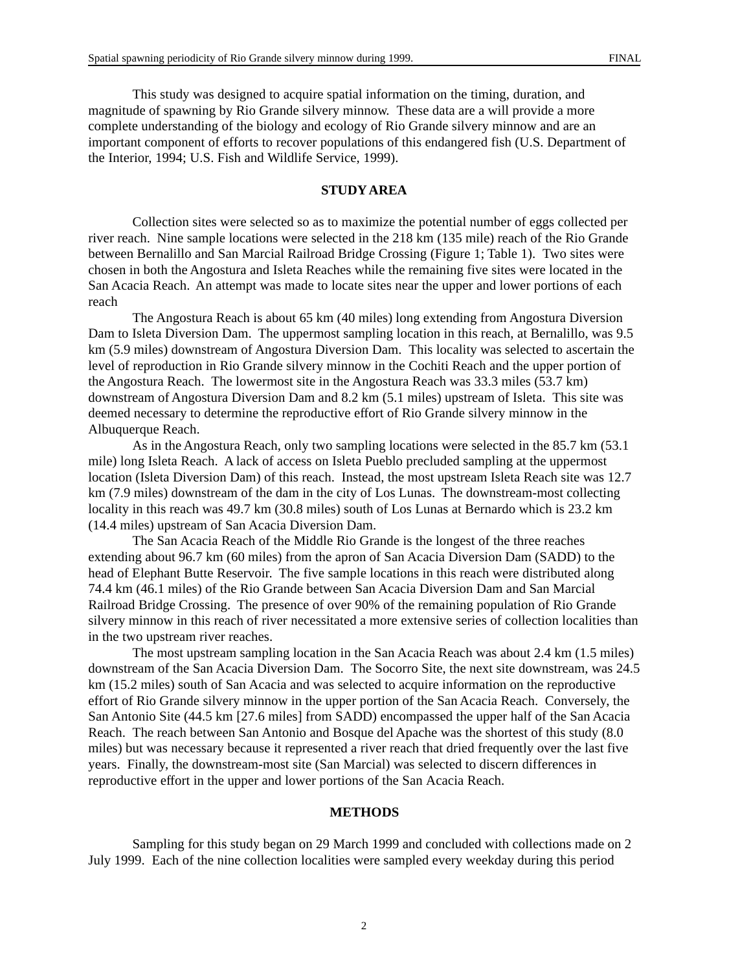This study was designed to acquire spatial information on the timing, duration, and magnitude of spawning by Rio Grande silvery minnow. These data are a will provide a more complete understanding of the biology and ecology of Rio Grande silvery minnow and are an important component of efforts to recover populations of this endangered fish (U.S. Department of the Interior, 1994; U.S. Fish and Wildlife Service, 1999).

#### **STUDY AREA**

Collection sites were selected so as to maximize the potential number of eggs collected per river reach. Nine sample locations were selected in the 218 km (135 mile) reach of the Rio Grande between Bernalillo and San Marcial Railroad Bridge Crossing (Figure 1; Table 1). Two sites were chosen in both the Angostura and Isleta Reaches while the remaining five sites were located in the San Acacia Reach. An attempt was made to locate sites near the upper and lower portions of each reach

The Angostura Reach is about 65 km (40 miles) long extending from Angostura Diversion Dam to Isleta Diversion Dam. The uppermost sampling location in this reach, at Bernalillo, was 9.5 km (5.9 miles) downstream of Angostura Diversion Dam. This locality was selected to ascertain the level of reproduction in Rio Grande silvery minnow in the Cochiti Reach and the upper portion of the Angostura Reach. The lowermost site in the Angostura Reach was 33.3 miles (53.7 km) downstream of Angostura Diversion Dam and 8.2 km (5.1 miles) upstream of Isleta. This site was deemed necessary to determine the reproductive effort of Rio Grande silvery minnow in the Albuquerque Reach.

As in the Angostura Reach, only two sampling locations were selected in the 85.7 km (53.1 mile) long Isleta Reach. A lack of access on Isleta Pueblo precluded sampling at the uppermost location (Isleta Diversion Dam) of this reach. Instead, the most upstream Isleta Reach site was 12.7 km (7.9 miles) downstream of the dam in the city of Los Lunas. The downstream-most collecting locality in this reach was 49.7 km (30.8 miles) south of Los Lunas at Bernardo which is 23.2 km (14.4 miles) upstream of San Acacia Diversion Dam.

The San Acacia Reach of the Middle Rio Grande is the longest of the three reaches extending about 96.7 km (60 miles) from the apron of San Acacia Diversion Dam (SADD) to the head of Elephant Butte Reservoir. The five sample locations in this reach were distributed along 74.4 km (46.1 miles) of the Rio Grande between San Acacia Diversion Dam and San Marcial Railroad Bridge Crossing. The presence of over 90% of the remaining population of Rio Grande silvery minnow in this reach of river necessitated a more extensive series of collection localities than in the two upstream river reaches.

The most upstream sampling location in the San Acacia Reach was about 2.4 km (1.5 miles) downstream of the San Acacia Diversion Dam. The Socorro Site, the next site downstream, was 24.5 km (15.2 miles) south of San Acacia and was selected to acquire information on the reproductive effort of Rio Grande silvery minnow in the upper portion of the San Acacia Reach. Conversely, the San Antonio Site (44.5 km [27.6 miles] from SADD) encompassed the upper half of the San Acacia Reach. The reach between San Antonio and Bosque del Apache was the shortest of this study (8.0 miles) but was necessary because it represented a river reach that dried frequently over the last five years. Finally, the downstream-most site (San Marcial) was selected to discern differences in reproductive effort in the upper and lower portions of the San Acacia Reach.

#### **METHODS**

Sampling for this study began on 29 March 1999 and concluded with collections made on 2 July 1999. Each of the nine collection localities were sampled every weekday during this period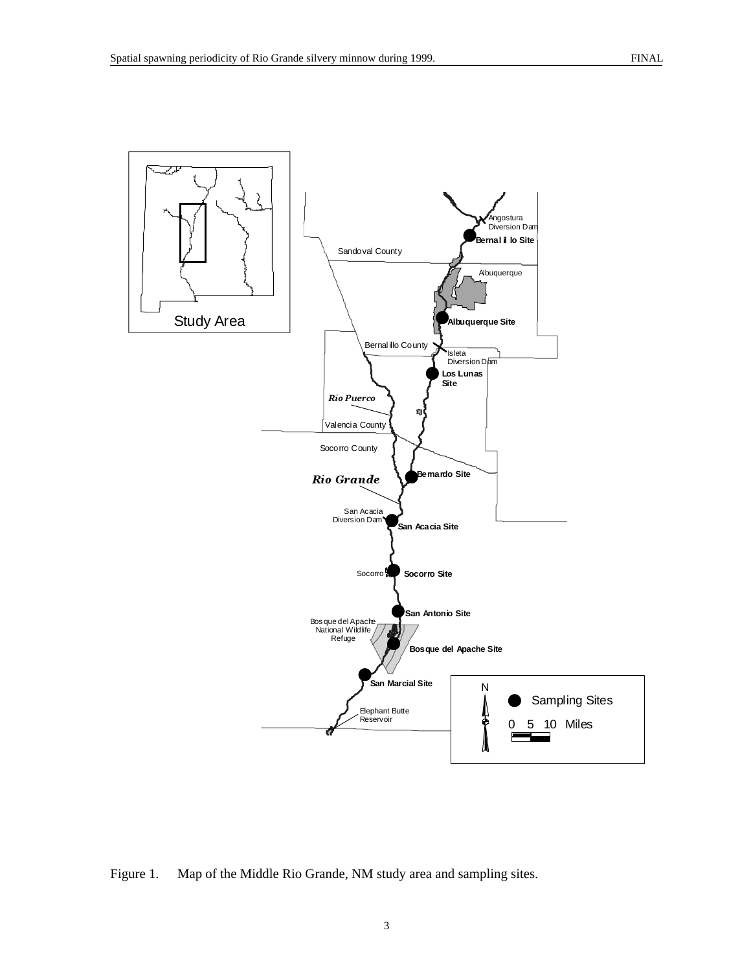

Figure 1. Map of the Middle Rio Grande, NM study area and sampling sites.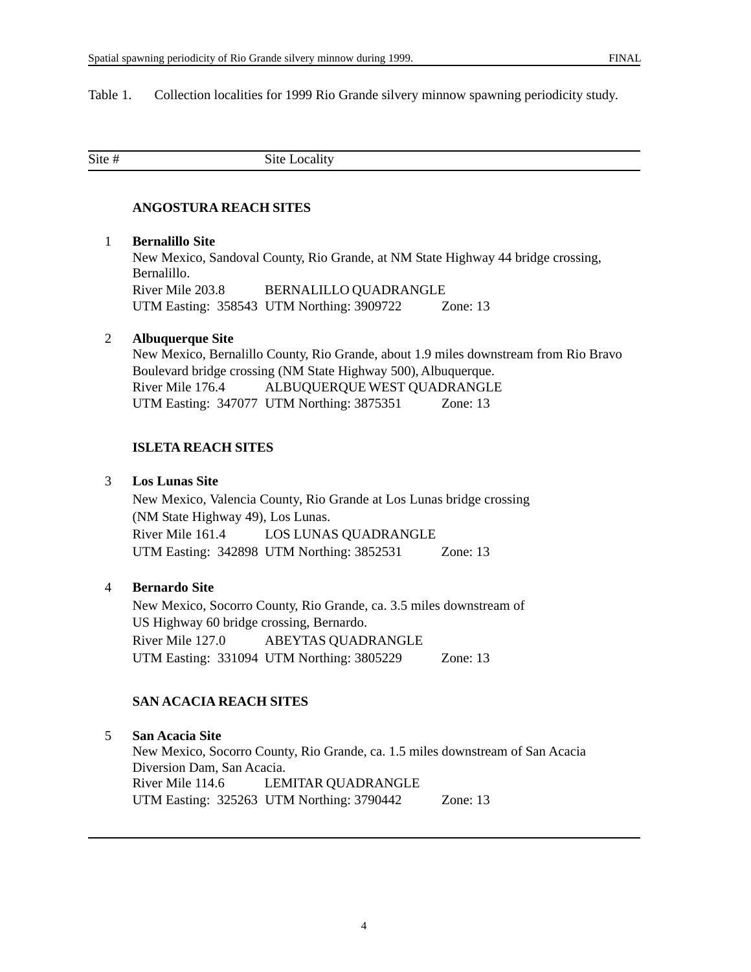Table 1. Collection localities for 1999 Rio Grande silvery minnow spawning periodicity study.

Site # Site Locality

### **ANGOSTURA REACH SITES**

1 **Bernalillo Site** New Mexico, Sandoval County, Rio Grande, at NM State Highway 44 bridge crossing, Bernalillo. River Mile 203.8 BERNALILLO QUADRANGLE UTM Easting: 358543 UTM Northing: 3909722 Zone: 13

### 2 **Albuquerque Site**

New Mexico, Bernalillo County, Rio Grande, about 1.9 miles downstream from Rio Bravo Boulevard bridge crossing (NM State Highway 500), Albuquerque. River Mile 176.4 ALBUQUERQUE WEST QUADRANGLE UTM Easting: 347077 UTM Northing: 3875351 Zone: 13

# **ISLETA REACH SITES**

### 3 **Los Lunas Site**

New Mexico, Valencia County, Rio Grande at Los Lunas bridge crossing (NM State Highway 49), Los Lunas. River Mile 161.4 LOS LUNAS QUADRANGLE UTM Easting: 342898 UTM Northing: 3852531 Zone: 13

### 4 **Bernardo Site**

New Mexico, Socorro County, Rio Grande, ca. 3.5 miles downstream of US Highway 60 bridge crossing, Bernardo. River Mile 127.0 ABEYTAS QUADRANGLE UTM Easting: 331094 UTM Northing: 3805229 Zone: 13

# **SAN ACACIA REACH SITES**

### 5 **San Acacia Site**

New Mexico, Socorro County, Rio Grande, ca. 1.5 miles downstream of San Acacia Diversion Dam, San Acacia. River Mile 114.6 LEMITAR QUADRANGLE UTM Easting: 325263 UTM Northing: 3790442 Zone: 13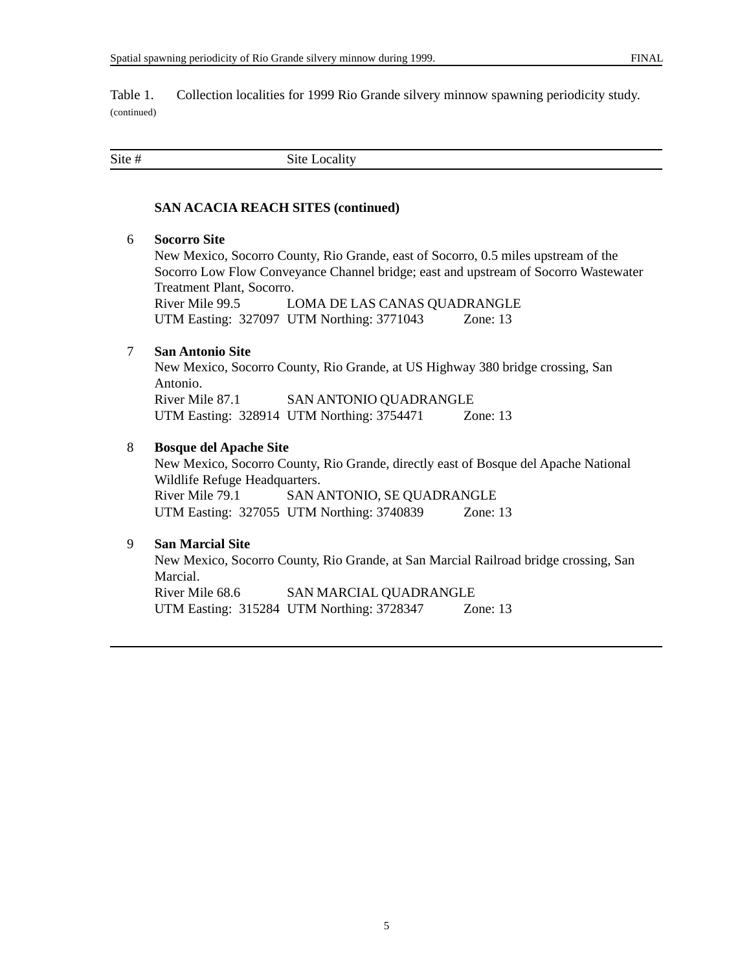Table 1. Collection localities for 1999 Rio Grande silvery minnow spawning periodicity study. (continued)

Site # Site Locality

# **SAN ACACIA REACH SITES (continued)**

### 6 **Socorro Site**

New Mexico, Socorro County, Rio Grande, east of Socorro, 0.5 miles upstream of the Socorro Low Flow Conveyance Channel bridge; east and upstream of Socorro Wastewater Treatment Plant, Socorro.

River Mile 99.5 LOMA DE LAS CANAS QUADRANGLE UTM Easting: 327097 UTM Northing: 3771043 Zone: 13

# 7 **San Antonio Site**

New Mexico, Socorro County, Rio Grande, at US Highway 380 bridge crossing, San Antonio.

River Mile 87.1 SAN ANTONIO QUADRANGLE UTM Easting: 328914 UTM Northing: 3754471 Zone: 13

# 8 **Bosque del Apache Site**

New Mexico, Socorro County, Rio Grande, directly east of Bosque del Apache National Wildlife Refuge Headquarters. River Mile 79.1 SAN ANTONIO, SE QUADRANGLE UTM Easting: 327055 UTM Northing: 3740839 Zone: 13

### 9 **San Marcial Site**

New Mexico, Socorro County, Rio Grande, at San Marcial Railroad bridge crossing, San Marcial. River Mile 68.6 SAN MARCIAL QUADRANGLE

UTM Easting: 315284 UTM Northing: 3728347 Zone: 13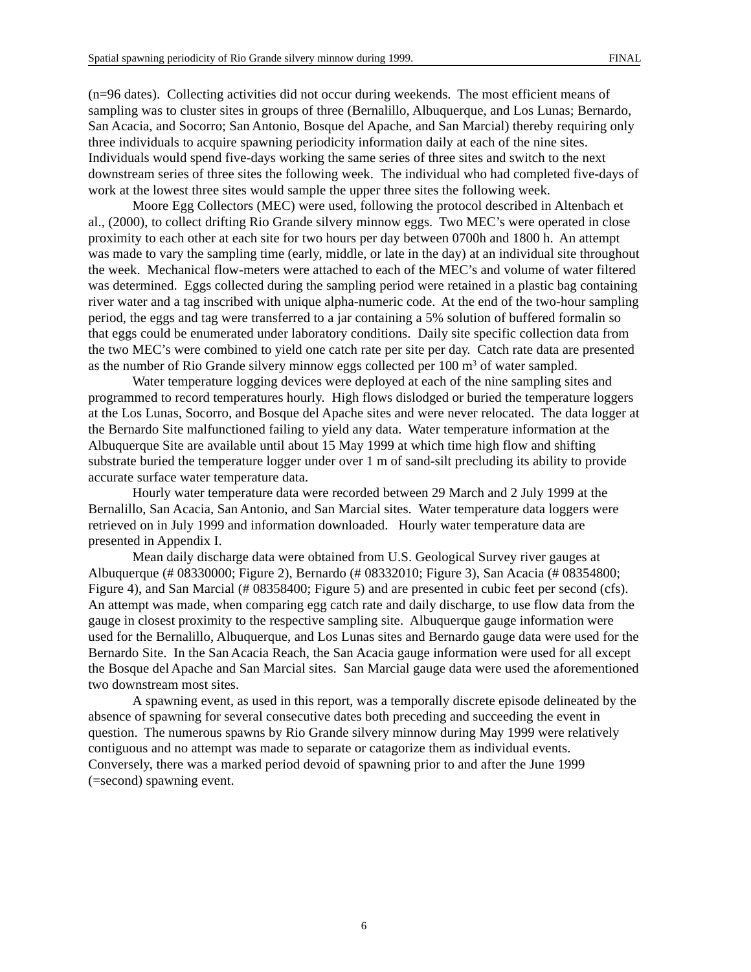(n=96 dates). Collecting activities did not occur during weekends. The most efficient means of sampling was to cluster sites in groups of three (Bernalillo, Albuquerque, and Los Lunas; Bernardo, San Acacia, and Socorro; San Antonio, Bosque del Apache, and San Marcial) thereby requiring only three individuals to acquire spawning periodicity information daily at each of the nine sites. Individuals would spend five-days working the same series of three sites and switch to the next downstream series of three sites the following week. The individual who had completed five-days of work at the lowest three sites would sample the upper three sites the following week.

Moore Egg Collectors (MEC) were used, following the protocol described in Altenbach et al., (2000), to collect drifting Rio Grande silvery minnow eggs. Two MEC's were operated in close proximity to each other at each site for two hours per day between 0700h and 1800 h. An attempt was made to vary the sampling time (early, middle, or late in the day) at an individual site throughout the week. Mechanical flow-meters were attached to each of the MEC's and volume of water filtered was determined. Eggs collected during the sampling period were retained in a plastic bag containing river water and a tag inscribed with unique alpha-numeric code. At the end of the two-hour sampling period, the eggs and tag were transferred to a jar containing a 5% solution of buffered formalin so that eggs could be enumerated under laboratory conditions. Daily site specific collection data from the two MEC's were combined to yield one catch rate per site per day. Catch rate data are presented as the number of Rio Grande silvery minnow eggs collected per  $100 \text{ m}^3$  of water sampled.

Water temperature logging devices were deployed at each of the nine sampling sites and programmed to record temperatures hourly. High flows dislodged or buried the temperature loggers at the Los Lunas, Socorro, and Bosque del Apache sites and were never relocated. The data logger at the Bernardo Site malfunctioned failing to yield any data. Water temperature information at the Albuquerque Site are available until about 15 May 1999 at which time high flow and shifting substrate buried the temperature logger under over 1 m of sand-silt precluding its ability to provide accurate surface water temperature data.

Hourly water temperature data were recorded between 29 March and 2 July 1999 at the Bernalillo, San Acacia, San Antonio, and San Marcial sites. Water temperature data loggers were retrieved on in July 1999 and information downloaded. Hourly water temperature data are presented in Appendix I.

Mean daily discharge data were obtained from U.S. Geological Survey river gauges at Albuquerque (# 08330000; Figure 2), Bernardo (# 08332010; Figure 3), San Acacia (# 08354800; Figure 4), and San Marcial (# 08358400; Figure 5) and are presented in cubic feet per second (cfs). An attempt was made, when comparing egg catch rate and daily discharge, to use flow data from the gauge in closest proximity to the respective sampling site. Albuquerque gauge information were used for the Bernalillo, Albuquerque, and Los Lunas sites and Bernardo gauge data were used for the Bernardo Site. In the San Acacia Reach, the San Acacia gauge information were used for all except the Bosque del Apache and San Marcial sites. San Marcial gauge data were used the aforementioned two downstream most sites.

A spawning event, as used in this report, was a temporally discrete episode delineated by the absence of spawning for several consecutive dates both preceding and succeeding the event in question. The numerous spawns by Rio Grande silvery minnow during May 1999 were relatively contiguous and no attempt was made to separate or catagorize them as individual events. Conversely, there was a marked period devoid of spawning prior to and after the June 1999 (=second) spawning event.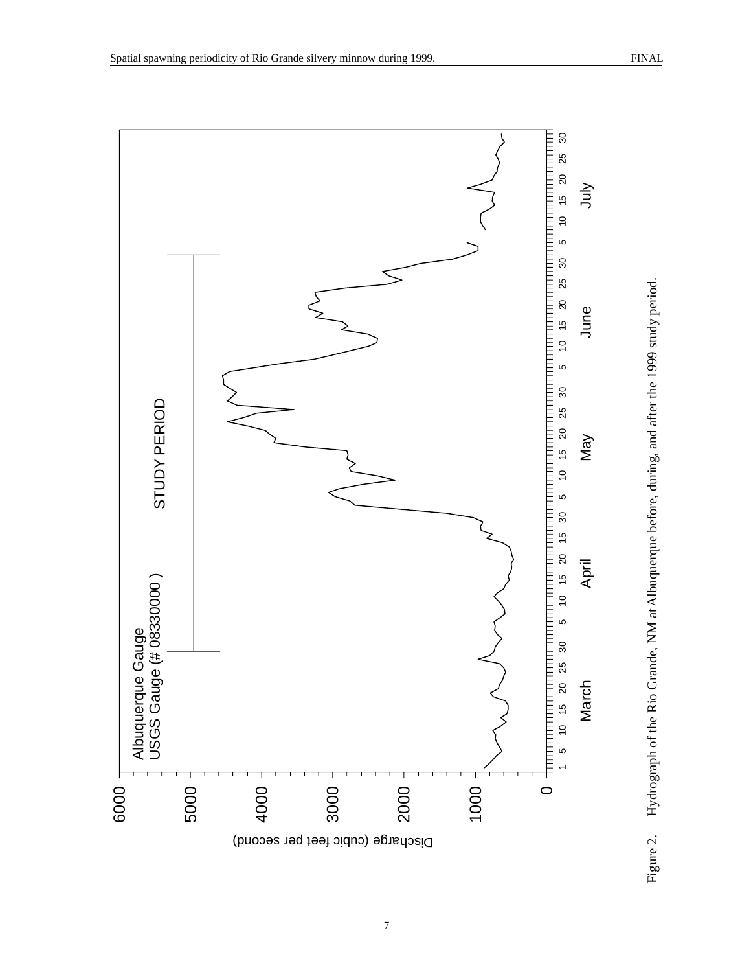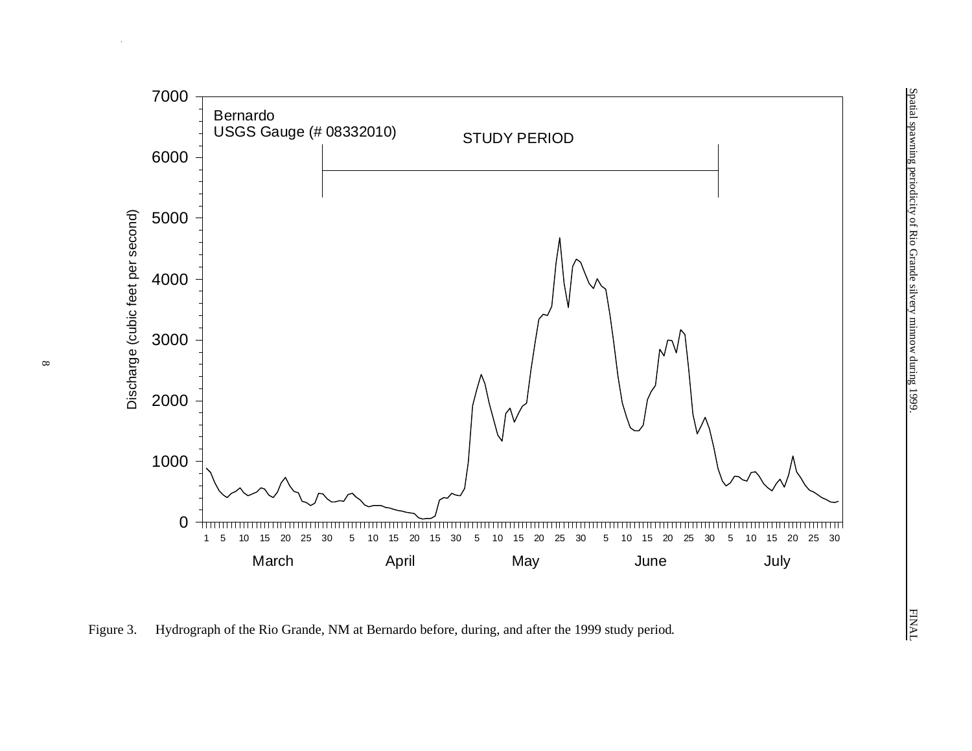

Figure 3. Hydrograph of the Rio Grande, NM at Bernardo before, during, and after the 1999 study period.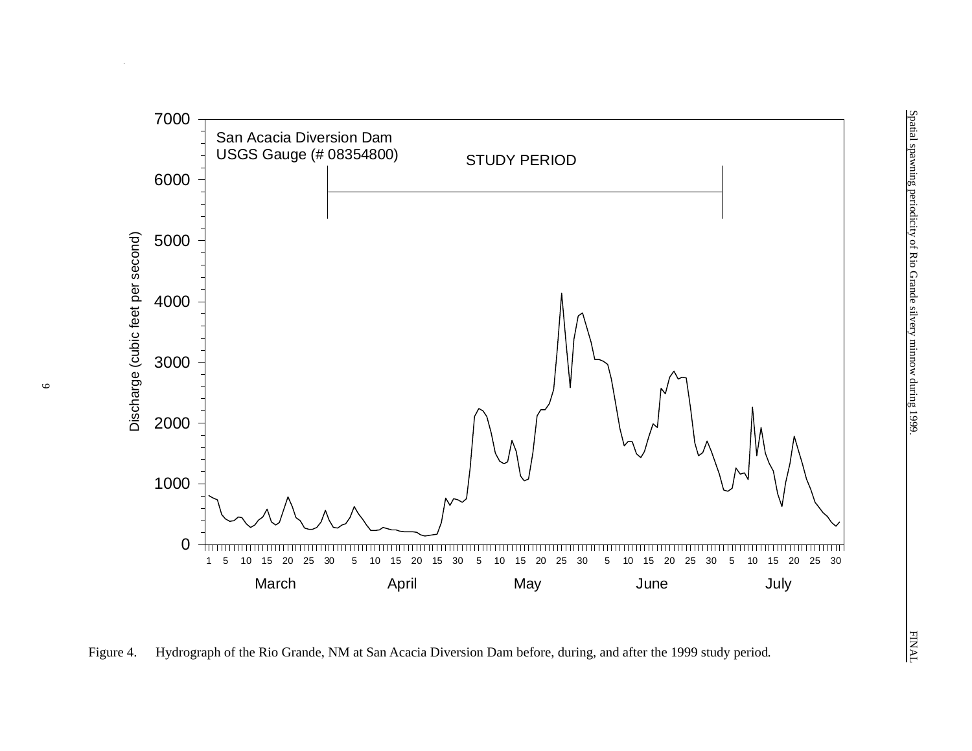

Figure 4. Hydrograph of the Rio Grande, NM at San Acacia Diversion Dam before, during, and after the 1999 study period.

 $\circ$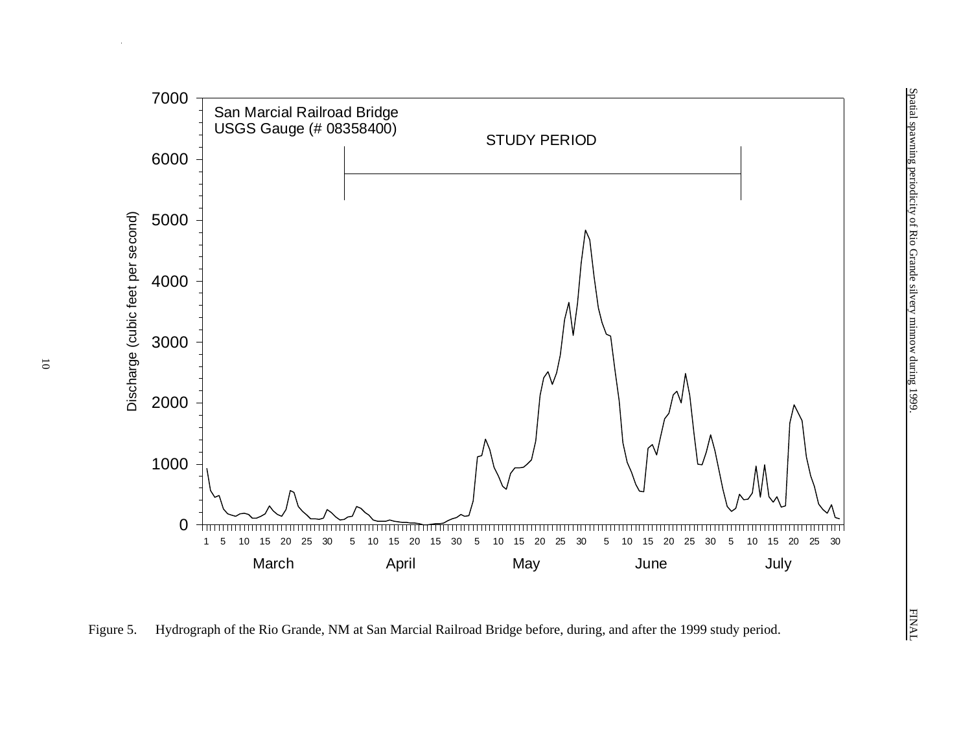

Figure 5. Hydrograph of the Rio Grande, NM at San Marcial Railroad Bridge before, during, and after the 1999 study period.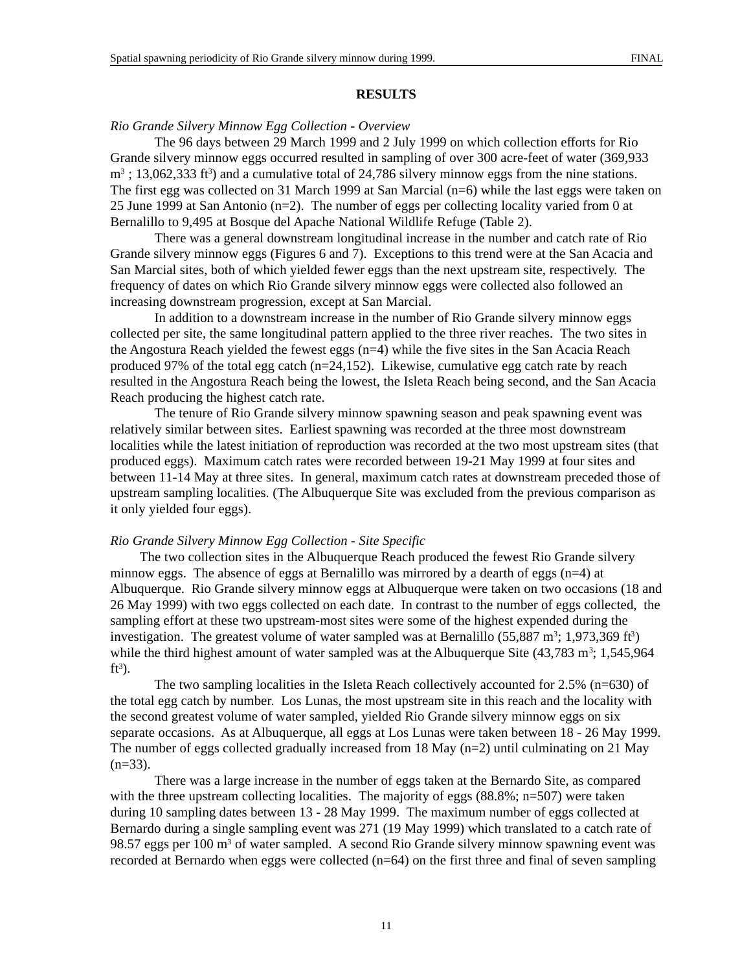#### **RESULTS**

#### *Rio Grande Silvery Minnow Egg Collection - Overview*

The 96 days between 29 March 1999 and 2 July 1999 on which collection efforts for Rio Grande silvery minnow eggs occurred resulted in sampling of over 300 acre-feet of water (369,933  $m<sup>3</sup>$ ; 13,062,333 ft<sup>3</sup>) and a cumulative total of 24,786 silvery minnow eggs from the nine stations. The first egg was collected on 31 March 1999 at San Marcial (n=6) while the last eggs were taken on 25 June 1999 at San Antonio (n=2). The number of eggs per collecting locality varied from 0 at Bernalillo to 9,495 at Bosque del Apache National Wildlife Refuge (Table 2).

There was a general downstream longitudinal increase in the number and catch rate of Rio Grande silvery minnow eggs (Figures 6 and 7). Exceptions to this trend were at the San Acacia and San Marcial sites, both of which yielded fewer eggs than the next upstream site, respectively. The frequency of dates on which Rio Grande silvery minnow eggs were collected also followed an increasing downstream progression, except at San Marcial.

In addition to a downstream increase in the number of Rio Grande silvery minnow eggs collected per site, the same longitudinal pattern applied to the three river reaches. The two sites in the Angostura Reach yielded the fewest eggs (n=4) while the five sites in the San Acacia Reach produced 97% of the total egg catch  $(n=24,152)$ . Likewise, cumulative egg catch rate by reach resulted in the Angostura Reach being the lowest, the Isleta Reach being second, and the San Acacia Reach producing the highest catch rate.

The tenure of Rio Grande silvery minnow spawning season and peak spawning event was relatively similar between sites. Earliest spawning was recorded at the three most downstream localities while the latest initiation of reproduction was recorded at the two most upstream sites (that produced eggs). Maximum catch rates were recorded between 19-21 May 1999 at four sites and between 11-14 May at three sites. In general, maximum catch rates at downstream preceded those of upstream sampling localities. (The Albuquerque Site was excluded from the previous comparison as it only yielded four eggs).

#### *Rio Grande Silvery Minnow Egg Collection - Site Specific*

The two collection sites in the Albuquerque Reach produced the fewest Rio Grande silvery minnow eggs. The absence of eggs at Bernalillo was mirrored by a dearth of eggs (n=4) at Albuquerque. Rio Grande silvery minnow eggs at Albuquerque were taken on two occasions (18 and 26 May 1999) with two eggs collected on each date. In contrast to the number of eggs collected, the sampling effort at these two upstream-most sites were some of the highest expended during the investigation. The greatest volume of water sampled was at Bernalillo  $(55,887 \text{ m}^3; 1,973,369 \text{ ft}^3)$ while the third highest amount of water sampled was at the Albuquerque Site  $(43,783 \text{ m}^3; 1,545,964 \text{ m}^3)$ ft<sup>3</sup>).

The two sampling localities in the Isleta Reach collectively accounted for 2.5% (n=630) of the total egg catch by number. Los Lunas, the most upstream site in this reach and the locality with the second greatest volume of water sampled, yielded Rio Grande silvery minnow eggs on six separate occasions. As at Albuquerque, all eggs at Los Lunas were taken between 18 - 26 May 1999. The number of eggs collected gradually increased from 18 May  $(n=2)$  until culminating on 21 May  $(n=33)$ .

There was a large increase in the number of eggs taken at the Bernardo Site, as compared with the three upstream collecting localities. The majority of eggs  $(88.8\%; n=507)$  were taken during 10 sampling dates between 13 - 28 May 1999. The maximum number of eggs collected at Bernardo during a single sampling event was 271 (19 May 1999) which translated to a catch rate of 98.57 eggs per 100 m<sup>3</sup> of water sampled. A second Rio Grande silvery minnow spawning event was recorded at Bernardo when eggs were collected  $(n=64)$  on the first three and final of seven sampling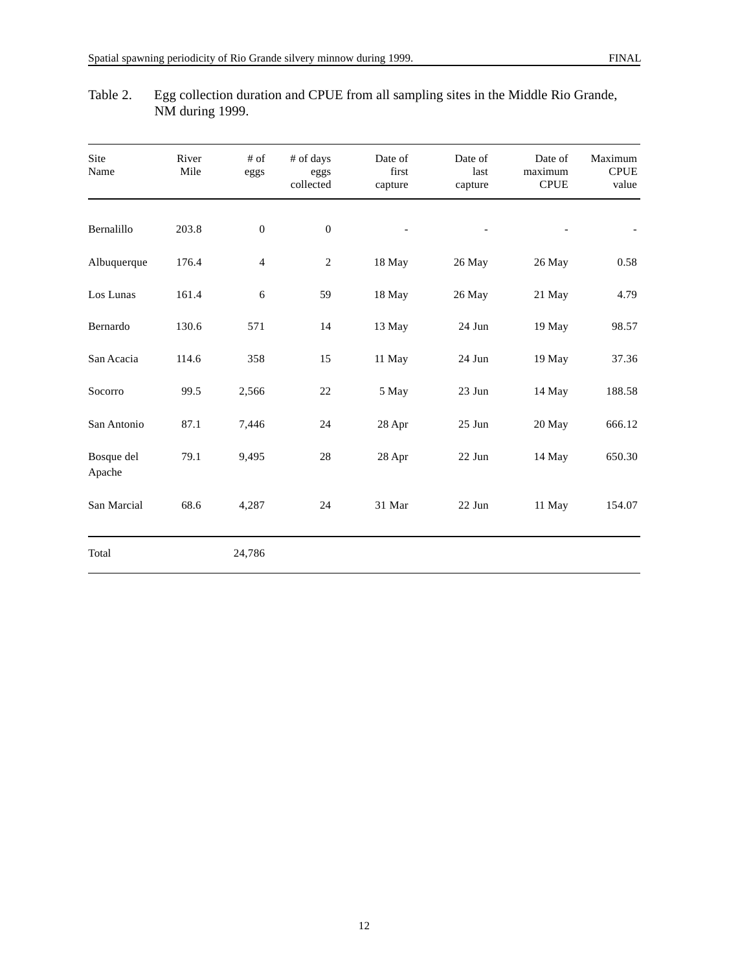| Site<br>Name         | River<br>Mile | # of<br>eggs     | # of days<br>eggs<br>collected | Date of<br>first<br>capture | Date of<br>last<br>capture | Date of<br>maximum<br><b>CPUE</b> | Maximum<br><b>CPUE</b><br>value |
|----------------------|---------------|------------------|--------------------------------|-----------------------------|----------------------------|-----------------------------------|---------------------------------|
| Bernalillo           | 203.8         | $\boldsymbol{0}$ | $\boldsymbol{0}$               |                             |                            |                                   |                                 |
| Albuquerque          | 176.4         | $\overline{4}$   | $\sqrt{2}$                     | 18 May                      | 26 May                     | 26 May                            | 0.58                            |
| Los Lunas            | 161.4         | 6                | 59                             | 18 May                      | 26 May                     | 21 May                            | 4.79                            |
| Bernardo             | 130.6         | 571              | 14                             | 13 May                      | 24 Jun                     | 19 May                            | 98.57                           |
| San Acacia           | 114.6         | 358              | 15                             | 11 May                      | 24 Jun                     | 19 May                            | 37.36                           |
| Socorro              | 99.5          | 2,566            | 22                             | 5 May                       | 23 Jun                     | 14 May                            | 188.58                          |
| San Antonio          | 87.1          | 7,446            | 24                             | 28 Apr                      | 25 Jun                     | 20 May                            | 666.12                          |
| Bosque del<br>Apache | 79.1          | 9,495            | 28                             | 28 Apr                      | 22 Jun                     | 14 May                            | 650.30                          |
| San Marcial          | 68.6          | 4,287            | 24                             | 31 Mar                      | 22 Jun                     | 11 May                            | 154.07                          |
| Total                |               | 24,786           |                                |                             |                            |                                   |                                 |

# Table 2. Egg collection duration and CPUE from all sampling sites in the Middle Rio Grande, NM during 1999.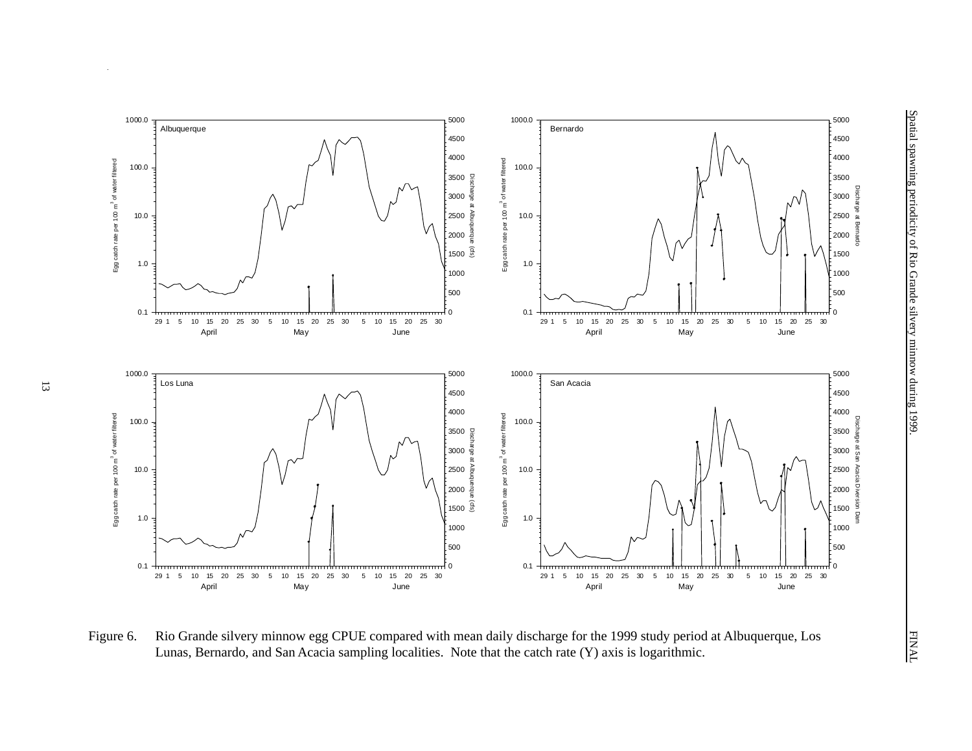

13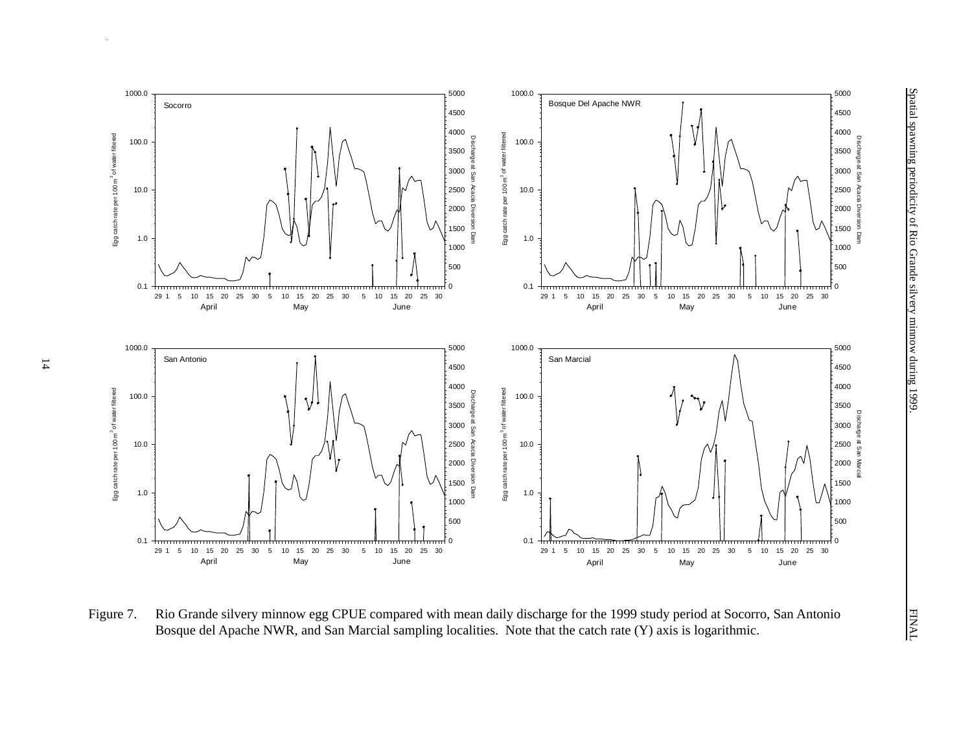



1000.0

5000

Figure 7. Rio Grande silvery minnow egg CPUE compared with mean daily discharge for the 1999 study period at Socorro, San Antonio Bosque del Apache NWR, and San Marcial sampling localities. Note that the catch rate (Y) axis is logarithmic.

1000.0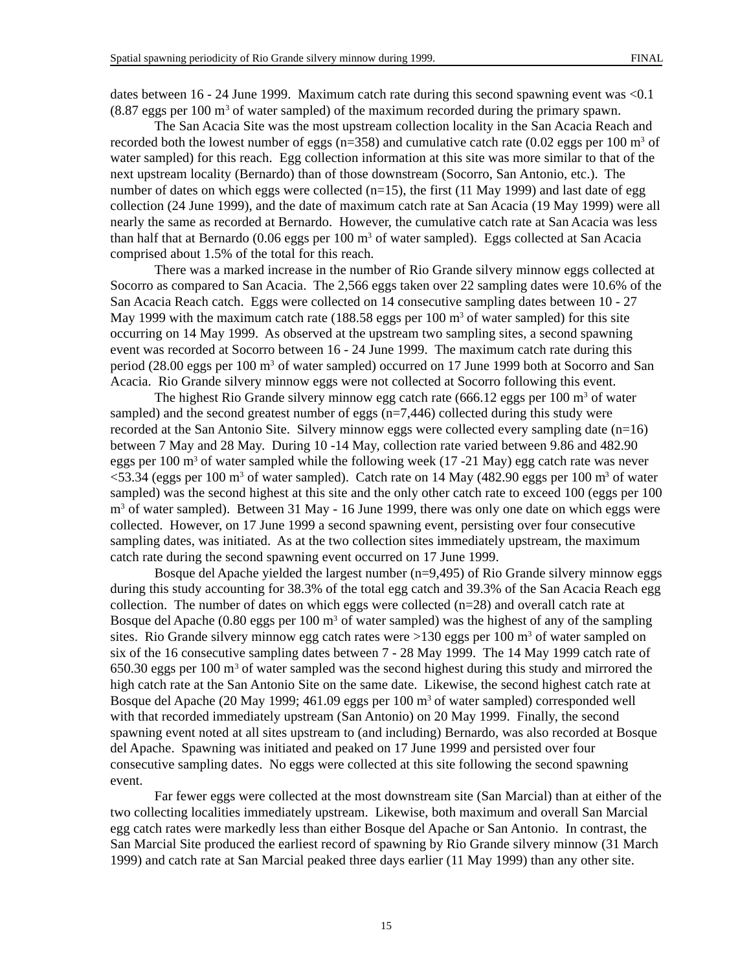dates between 16 - 24 June 1999. Maximum catch rate during this second spawning event was <0.1  $(8.87 \text{ eggs per } 100 \text{ m}^3 \text{ of water sampled})$  of the maximum recorded during the primary spawn.

The San Acacia Site was the most upstream collection locality in the San Acacia Reach and recorded both the lowest number of eggs ( $n=358$ ) and cumulative catch rate (0.02 eggs per 100 m<sup>3</sup> of water sampled) for this reach. Egg collection information at this site was more similar to that of the next upstream locality (Bernardo) than of those downstream (Socorro, San Antonio, etc.). The number of dates on which eggs were collected  $(n=15)$ , the first (11 May 1999) and last date of egg collection (24 June 1999), and the date of maximum catch rate at San Acacia (19 May 1999) were all nearly the same as recorded at Bernardo. However, the cumulative catch rate at San Acacia was less than half that at Bernardo ( $0.06$  eggs per  $100 \text{ m}^3$  of water sampled). Eggs collected at San Acacia comprised about 1.5% of the total for this reach.

There was a marked increase in the number of Rio Grande silvery minnow eggs collected at Socorro as compared to San Acacia. The 2,566 eggs taken over 22 sampling dates were 10.6% of the San Acacia Reach catch. Eggs were collected on 14 consecutive sampling dates between 10 - 27 May 1999 with the maximum catch rate  $(188.58$  eggs per 100 m<sup>3</sup> of water sampled) for this site occurring on 14 May 1999. As observed at the upstream two sampling sites, a second spawning event was recorded at Socorro between 16 - 24 June 1999. The maximum catch rate during this period (28.00 eggs per 100 m<sup>3</sup> of water sampled) occurred on 17 June 1999 both at Socorro and San Acacia. Rio Grande silvery minnow eggs were not collected at Socorro following this event.

The highest Rio Grande silvery minnow egg catch rate  $(666.12$  eggs per 100 m<sup>3</sup> of water sampled) and the second greatest number of eggs  $(n=7,446)$  collected during this study were recorded at the San Antonio Site. Silvery minnow eggs were collected every sampling date (n=16) between 7 May and 28 May. During 10 -14 May, collection rate varied between 9.86 and 482.90 eggs per 100 m<sup>3</sup> of water sampled while the following week (17 -21 May) egg catch rate was never  $<$ 53.34 (eggs per 100 m<sup>3</sup> of water sampled). Catch rate on 14 May (482.90 eggs per 100 m<sup>3</sup> of water sampled) was the second highest at this site and the only other catch rate to exceed 100 (eggs per 100) m<sup>3</sup> of water sampled). Between 31 May - 16 June 1999, there was only one date on which eggs were collected. However, on 17 June 1999 a second spawning event, persisting over four consecutive sampling dates, was initiated. As at the two collection sites immediately upstream, the maximum catch rate during the second spawning event occurred on 17 June 1999.

Bosque del Apache yielded the largest number  $(n=9,495)$  of Rio Grande silvery minnow eggs during this study accounting for 38.3% of the total egg catch and 39.3% of the San Acacia Reach egg collection. The number of dates on which eggs were collected (n=28) and overall catch rate at Bosque del Apache (0.80 eggs per 100 m<sup>3</sup> of water sampled) was the highest of any of the sampling sites. Rio Grande silvery minnow egg catch rates were  $>130$  eggs per 100 m<sup>3</sup> of water sampled on six of the 16 consecutive sampling dates between 7 - 28 May 1999. The 14 May 1999 catch rate of 650.30 eggs per  $100 \text{ m}^3$  of water sampled was the second highest during this study and mirrored the high catch rate at the San Antonio Site on the same date. Likewise, the second highest catch rate at Bosque del Apache (20 May 1999; 461.09 eggs per 100 m<sup>3</sup> of water sampled) corresponded well with that recorded immediately upstream (San Antonio) on 20 May 1999. Finally, the second spawning event noted at all sites upstream to (and including) Bernardo, was also recorded at Bosque del Apache. Spawning was initiated and peaked on 17 June 1999 and persisted over four consecutive sampling dates. No eggs were collected at this site following the second spawning event.

Far fewer eggs were collected at the most downstream site (San Marcial) than at either of the two collecting localities immediately upstream. Likewise, both maximum and overall San Marcial egg catch rates were markedly less than either Bosque del Apache or San Antonio. In contrast, the San Marcial Site produced the earliest record of spawning by Rio Grande silvery minnow (31 March 1999) and catch rate at San Marcial peaked three days earlier (11 May 1999) than any other site.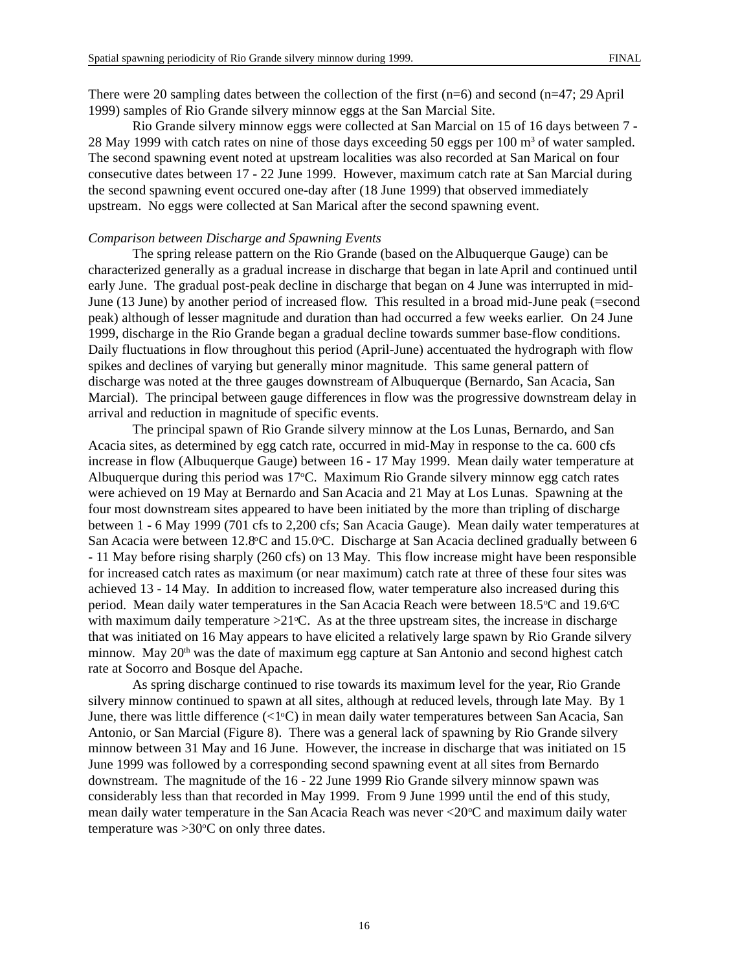There were 20 sampling dates between the collection of the first (n=6) and second (n=47; 29 April 1999) samples of Rio Grande silvery minnow eggs at the San Marcial Site.

Rio Grande silvery minnow eggs were collected at San Marcial on 15 of 16 days between 7 - 28 May 1999 with catch rates on nine of those days exceeding 50 eggs per 100 m<sup>3</sup> of water sampled. The second spawning event noted at upstream localities was also recorded at San Marical on four consecutive dates between 17 - 22 June 1999. However, maximum catch rate at San Marcial during the second spawning event occured one-day after (18 June 1999) that observed immediately upstream. No eggs were collected at San Marical after the second spawning event.

#### *Comparison between Discharge and Spawning Events*

The spring release pattern on the Rio Grande (based on the Albuquerque Gauge) can be characterized generally as a gradual increase in discharge that began in late April and continued until early June. The gradual post-peak decline in discharge that began on 4 June was interrupted in mid-June (13 June) by another period of increased flow. This resulted in a broad mid-June peak (=second peak) although of lesser magnitude and duration than had occurred a few weeks earlier. On 24 June 1999, discharge in the Rio Grande began a gradual decline towards summer base-flow conditions. Daily fluctuations in flow throughout this period (April-June) accentuated the hydrograph with flow spikes and declines of varying but generally minor magnitude. This same general pattern of discharge was noted at the three gauges downstream of Albuquerque (Bernardo, San Acacia, San Marcial). The principal between gauge differences in flow was the progressive downstream delay in arrival and reduction in magnitude of specific events.

The principal spawn of Rio Grande silvery minnow at the Los Lunas, Bernardo, and San Acacia sites, as determined by egg catch rate, occurred in mid-May in response to the ca. 600 cfs increase in flow (Albuquerque Gauge) between 16 - 17 May 1999. Mean daily water temperature at Albuquerque during this period was 17°C. Maximum Rio Grande silvery minnow egg catch rates were achieved on 19 May at Bernardo and San Acacia and 21 May at Los Lunas. Spawning at the four most downstream sites appeared to have been initiated by the more than tripling of discharge between 1 - 6 May 1999 (701 cfs to 2,200 cfs; San Acacia Gauge). Mean daily water temperatures at San Acacia were between 12.8°C and 15.0°C. Discharge at San Acacia declined gradually between 6 - 11 May before rising sharply (260 cfs) on 13 May. This flow increase might have been responsible for increased catch rates as maximum (or near maximum) catch rate at three of these four sites was achieved 13 - 14 May. In addition to increased flow, water temperature also increased during this period. Mean daily water temperatures in the San Acacia Reach were between 18.5°C and 19.6°C with maximum daily temperature  $>21^{\circ}$ C. As at the three upstream sites, the increase in discharge that was initiated on 16 May appears to have elicited a relatively large spawn by Rio Grande silvery minnow. May  $20<sup>th</sup>$  was the date of maximum egg capture at San Antonio and second highest catch rate at Socorro and Bosque del Apache.

As spring discharge continued to rise towards its maximum level for the year, Rio Grande silvery minnow continued to spawn at all sites, although at reduced levels, through late May. By 1 June, there was little difference (<1°C) in mean daily water temperatures between San Acacia, San Antonio, or San Marcial (Figure 8). There was a general lack of spawning by Rio Grande silvery minnow between 31 May and 16 June. However, the increase in discharge that was initiated on 15 June 1999 was followed by a corresponding second spawning event at all sites from Bernardo downstream. The magnitude of the 16 - 22 June 1999 Rio Grande silvery minnow spawn was considerably less than that recorded in May 1999. From 9 June 1999 until the end of this study, mean daily water temperature in the San Acacia Reach was never <20°C and maximum daily water temperature was  $>30^{\circ}$ C on only three dates.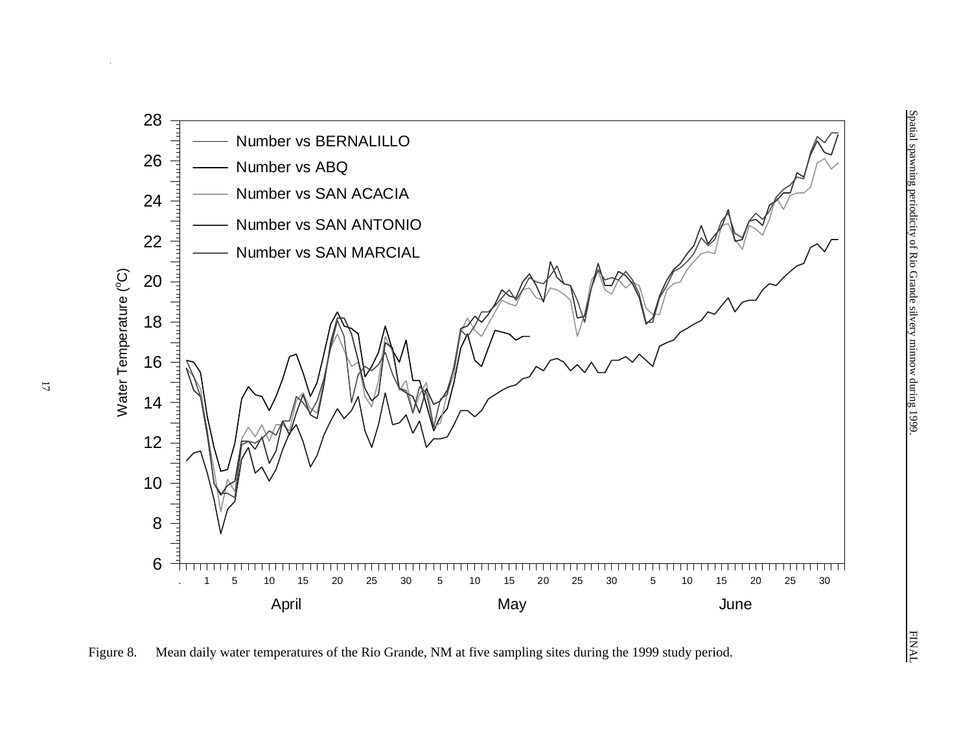

17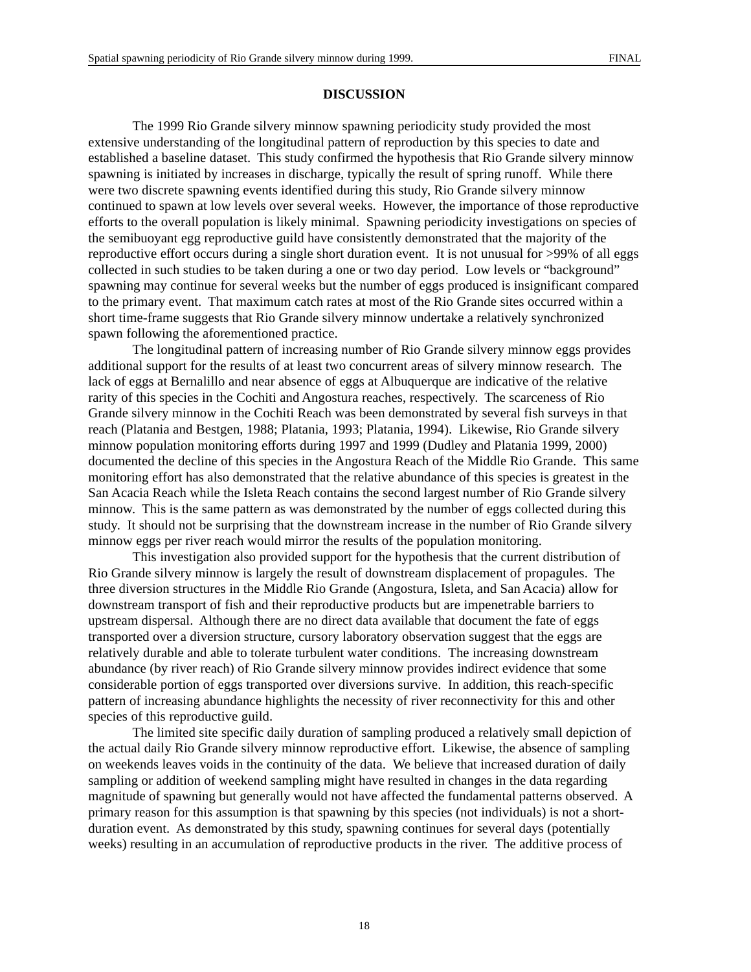#### **DISCUSSION**

The 1999 Rio Grande silvery minnow spawning periodicity study provided the most extensive understanding of the longitudinal pattern of reproduction by this species to date and established a baseline dataset. This study confirmed the hypothesis that Rio Grande silvery minnow spawning is initiated by increases in discharge, typically the result of spring runoff. While there were two discrete spawning events identified during this study, Rio Grande silvery minnow continued to spawn at low levels over several weeks. However, the importance of those reproductive efforts to the overall population is likely minimal. Spawning periodicity investigations on species of the semibuoyant egg reproductive guild have consistently demonstrated that the majority of the reproductive effort occurs during a single short duration event. It is not unusual for >99% of all eggs collected in such studies to be taken during a one or two day period. Low levels or "background" spawning may continue for several weeks but the number of eggs produced is insignificant compared to the primary event. That maximum catch rates at most of the Rio Grande sites occurred within a short time-frame suggests that Rio Grande silvery minnow undertake a relatively synchronized spawn following the aforementioned practice.

The longitudinal pattern of increasing number of Rio Grande silvery minnow eggs provides additional support for the results of at least two concurrent areas of silvery minnow research. The lack of eggs at Bernalillo and near absence of eggs at Albuquerque are indicative of the relative rarity of this species in the Cochiti and Angostura reaches, respectively. The scarceness of Rio Grande silvery minnow in the Cochiti Reach was been demonstrated by several fish surveys in that reach (Platania and Bestgen, 1988; Platania, 1993; Platania, 1994). Likewise, Rio Grande silvery minnow population monitoring efforts during 1997 and 1999 (Dudley and Platania 1999, 2000) documented the decline of this species in the Angostura Reach of the Middle Rio Grande. This same monitoring effort has also demonstrated that the relative abundance of this species is greatest in the San Acacia Reach while the Isleta Reach contains the second largest number of Rio Grande silvery minnow. This is the same pattern as was demonstrated by the number of eggs collected during this study. It should not be surprising that the downstream increase in the number of Rio Grande silvery minnow eggs per river reach would mirror the results of the population monitoring.

This investigation also provided support for the hypothesis that the current distribution of Rio Grande silvery minnow is largely the result of downstream displacement of propagules. The three diversion structures in the Middle Rio Grande (Angostura, Isleta, and San Acacia) allow for downstream transport of fish and their reproductive products but are impenetrable barriers to upstream dispersal. Although there are no direct data available that document the fate of eggs transported over a diversion structure, cursory laboratory observation suggest that the eggs are relatively durable and able to tolerate turbulent water conditions. The increasing downstream abundance (by river reach) of Rio Grande silvery minnow provides indirect evidence that some considerable portion of eggs transported over diversions survive. In addition, this reach-specific pattern of increasing abundance highlights the necessity of river reconnectivity for this and other species of this reproductive guild.

The limited site specific daily duration of sampling produced a relatively small depiction of the actual daily Rio Grande silvery minnow reproductive effort. Likewise, the absence of sampling on weekends leaves voids in the continuity of the data. We believe that increased duration of daily sampling or addition of weekend sampling might have resulted in changes in the data regarding magnitude of spawning but generally would not have affected the fundamental patterns observed. A primary reason for this assumption is that spawning by this species (not individuals) is not a shortduration event. As demonstrated by this study, spawning continues for several days (potentially weeks) resulting in an accumulation of reproductive products in the river. The additive process of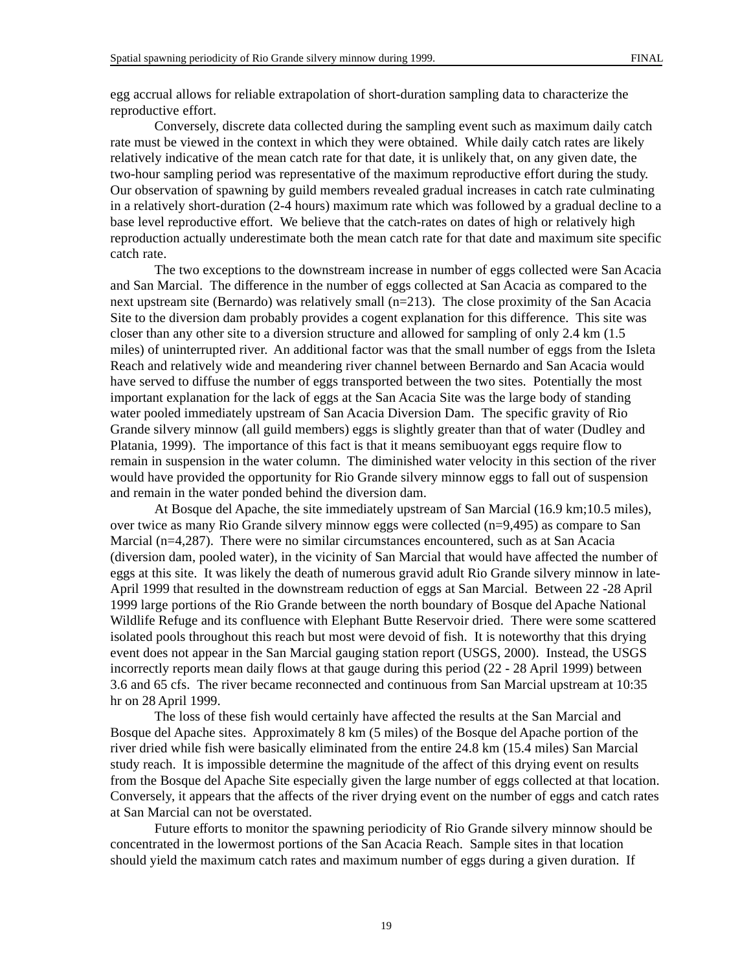egg accrual allows for reliable extrapolation of short-duration sampling data to characterize the reproductive effort.

Conversely, discrete data collected during the sampling event such as maximum daily catch rate must be viewed in the context in which they were obtained. While daily catch rates are likely relatively indicative of the mean catch rate for that date, it is unlikely that, on any given date, the two-hour sampling period was representative of the maximum reproductive effort during the study. Our observation of spawning by guild members revealed gradual increases in catch rate culminating in a relatively short-duration (2-4 hours) maximum rate which was followed by a gradual decline to a base level reproductive effort. We believe that the catch-rates on dates of high or relatively high reproduction actually underestimate both the mean catch rate for that date and maximum site specific catch rate.

The two exceptions to the downstream increase in number of eggs collected were San Acacia and San Marcial. The difference in the number of eggs collected at San Acacia as compared to the next upstream site (Bernardo) was relatively small (n=213). The close proximity of the San Acacia Site to the diversion dam probably provides a cogent explanation for this difference. This site was closer than any other site to a diversion structure and allowed for sampling of only 2.4 km (1.5 miles) of uninterrupted river. An additional factor was that the small number of eggs from the Isleta Reach and relatively wide and meandering river channel between Bernardo and San Acacia would have served to diffuse the number of eggs transported between the two sites. Potentially the most important explanation for the lack of eggs at the San Acacia Site was the large body of standing water pooled immediately upstream of San Acacia Diversion Dam. The specific gravity of Rio Grande silvery minnow (all guild members) eggs is slightly greater than that of water (Dudley and Platania, 1999). The importance of this fact is that it means semibuoyant eggs require flow to remain in suspension in the water column. The diminished water velocity in this section of the river would have provided the opportunity for Rio Grande silvery minnow eggs to fall out of suspension and remain in the water ponded behind the diversion dam.

At Bosque del Apache, the site immediately upstream of San Marcial (16.9 km;10.5 miles), over twice as many Rio Grande silvery minnow eggs were collected (n=9,495) as compare to San Marcial (n=4,287). There were no similar circumstances encountered, such as at San Acacia (diversion dam, pooled water), in the vicinity of San Marcial that would have affected the number of eggs at this site. It was likely the death of numerous gravid adult Rio Grande silvery minnow in late-April 1999 that resulted in the downstream reduction of eggs at San Marcial. Between 22 -28 April 1999 large portions of the Rio Grande between the north boundary of Bosque del Apache National Wildlife Refuge and its confluence with Elephant Butte Reservoir dried. There were some scattered isolated pools throughout this reach but most were devoid of fish. It is noteworthy that this drying event does not appear in the San Marcial gauging station report (USGS, 2000). Instead, the USGS incorrectly reports mean daily flows at that gauge during this period (22 - 28 April 1999) between 3.6 and 65 cfs. The river became reconnected and continuous from San Marcial upstream at 10:35 hr on 28 April 1999.

The loss of these fish would certainly have affected the results at the San Marcial and Bosque del Apache sites. Approximately 8 km (5 miles) of the Bosque del Apache portion of the river dried while fish were basically eliminated from the entire 24.8 km (15.4 miles) San Marcial study reach. It is impossible determine the magnitude of the affect of this drying event on results from the Bosque del Apache Site especially given the large number of eggs collected at that location. Conversely, it appears that the affects of the river drying event on the number of eggs and catch rates at San Marcial can not be overstated.

Future efforts to monitor the spawning periodicity of Rio Grande silvery minnow should be concentrated in the lowermost portions of the San Acacia Reach. Sample sites in that location should yield the maximum catch rates and maximum number of eggs during a given duration. If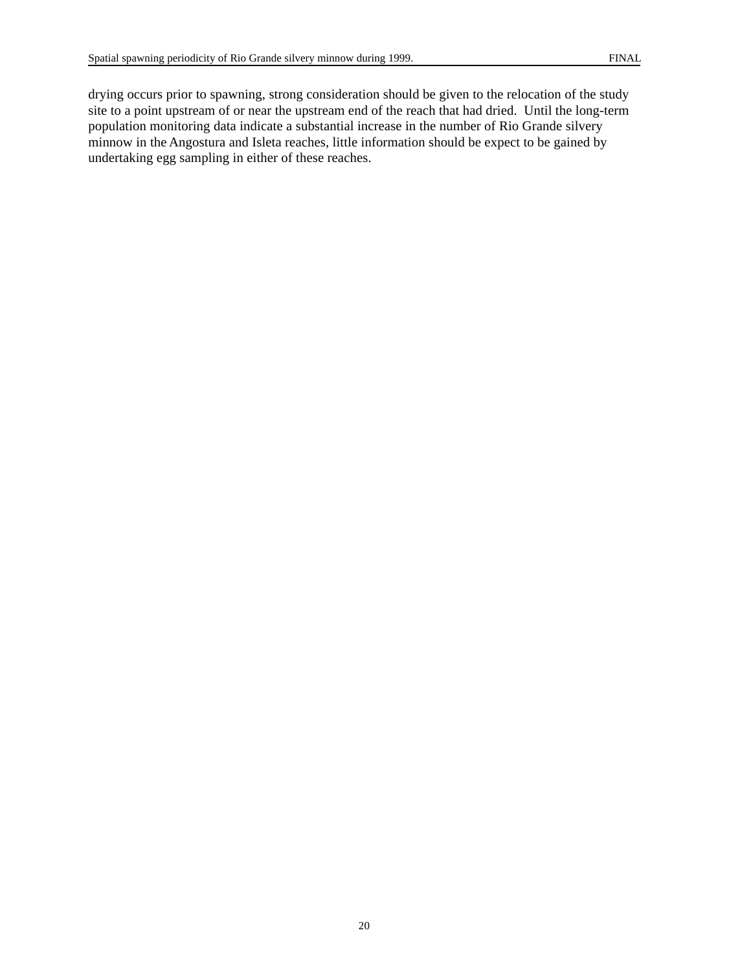drying occurs prior to spawning, strong consideration should be given to the relocation of the study site to a point upstream of or near the upstream end of the reach that had dried. Until the long-term population monitoring data indicate a substantial increase in the number of Rio Grande silvery minnow in the Angostura and Isleta reaches, little information should be expect to be gained by undertaking egg sampling in either of these reaches.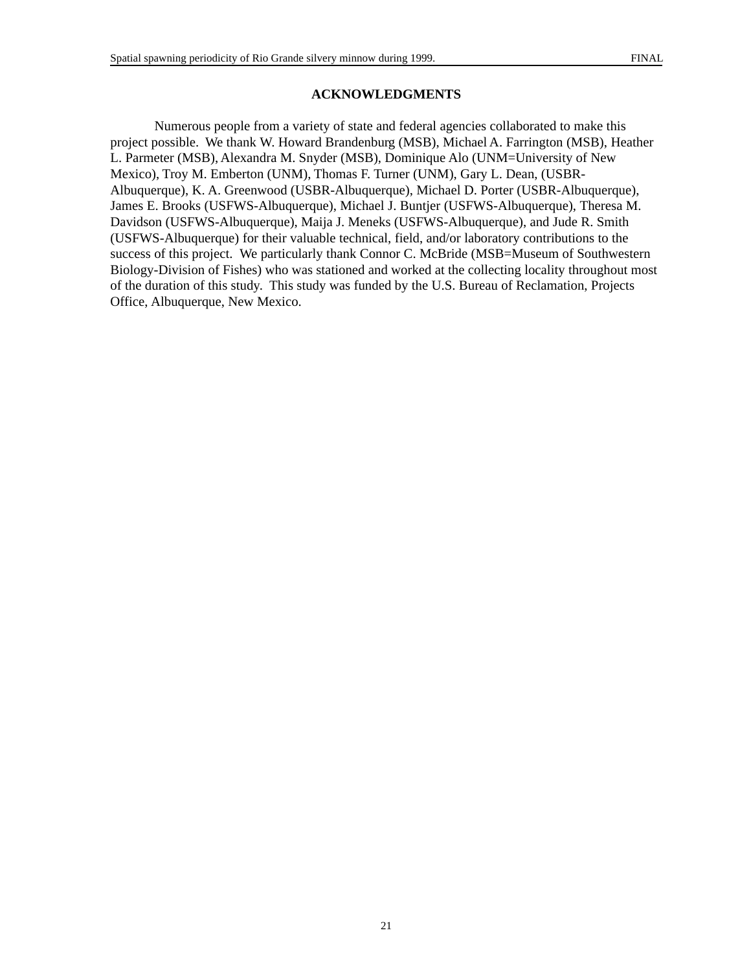#### **ACKNOWLEDGMENTS**

Numerous people from a variety of state and federal agencies collaborated to make this project possible. We thank W. Howard Brandenburg (MSB), Michael A. Farrington (MSB), Heather L. Parmeter (MSB), Alexandra M. Snyder (MSB), Dominique Alo (UNM=University of New Mexico), Troy M. Emberton (UNM), Thomas F. Turner (UNM), Gary L. Dean, (USBR-Albuquerque), K. A. Greenwood (USBR-Albuquerque), Michael D. Porter (USBR-Albuquerque), James E. Brooks (USFWS-Albuquerque), Michael J. Buntjer (USFWS-Albuquerque), Theresa M. Davidson (USFWS-Albuquerque), Maija J. Meneks (USFWS-Albuquerque), and Jude R. Smith (USFWS-Albuquerque) for their valuable technical, field, and/or laboratory contributions to the success of this project. We particularly thank Connor C. McBride (MSB=Museum of Southwestern Biology-Division of Fishes) who was stationed and worked at the collecting locality throughout most of the duration of this study. This study was funded by the U.S. Bureau of Reclamation, Projects Office, Albuquerque, New Mexico.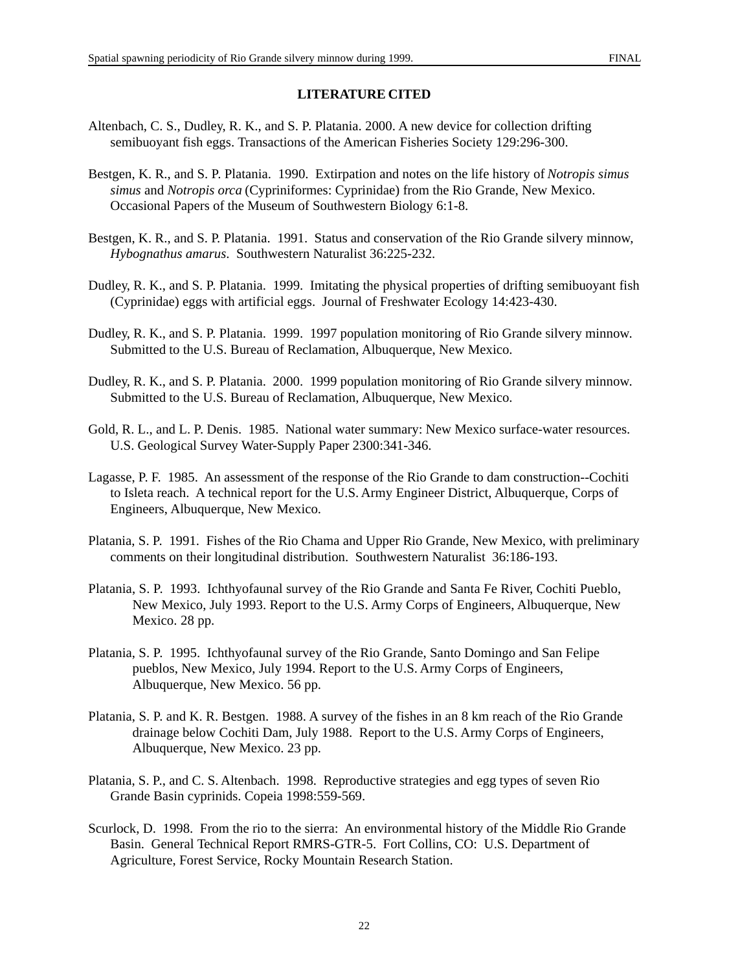### **LITERATURE CITED**

- Altenbach, C. S., Dudley, R. K., and S. P. Platania. 2000. A new device for collection drifting semibuoyant fish eggs. Transactions of the American Fisheries Society 129:296-300.
- Bestgen, K. R., and S. P. Platania. 1990. Extirpation and notes on the life history of *Notropis simus simus* and *Notropis orca* (Cypriniformes: Cyprinidae) from the Rio Grande, New Mexico. Occasional Papers of the Museum of Southwestern Biology 6:1-8.
- Bestgen, K. R., and S. P. Platania. 1991. Status and conservation of the Rio Grande silvery minnow, *Hybognathus amarus*. Southwestern Naturalist 36:225-232.
- Dudley, R. K., and S. P. Platania. 1999. Imitating the physical properties of drifting semibuoyant fish (Cyprinidae) eggs with artificial eggs. Journal of Freshwater Ecology 14:423-430.
- Dudley, R. K., and S. P. Platania. 1999. 1997 population monitoring of Rio Grande silvery minnow. Submitted to the U.S. Bureau of Reclamation, Albuquerque, New Mexico.
- Dudley, R. K., and S. P. Platania. 2000. 1999 population monitoring of Rio Grande silvery minnow. Submitted to the U.S. Bureau of Reclamation, Albuquerque, New Mexico.
- Gold, R. L., and L. P. Denis. 1985. National water summary: New Mexico surface-water resources. U.S. Geological Survey Water-Supply Paper 2300:341-346.
- Lagasse, P. F. 1985. An assessment of the response of the Rio Grande to dam construction--Cochiti to Isleta reach. A technical report for the U.S. Army Engineer District, Albuquerque, Corps of Engineers, Albuquerque, New Mexico.
- Platania, S. P. 1991. Fishes of the Rio Chama and Upper Rio Grande, New Mexico, with preliminary comments on their longitudinal distribution. Southwestern Naturalist 36:186-193.
- Platania, S. P. 1993. Ichthyofaunal survey of the Rio Grande and Santa Fe River, Cochiti Pueblo, New Mexico, July 1993. Report to the U.S. Army Corps of Engineers, Albuquerque, New Mexico. 28 pp.
- Platania, S. P. 1995. Ichthyofaunal survey of the Rio Grande, Santo Domingo and San Felipe pueblos, New Mexico, July 1994. Report to the U.S. Army Corps of Engineers, Albuquerque, New Mexico. 56 pp.
- Platania, S. P. and K. R. Bestgen. 1988. A survey of the fishes in an 8 km reach of the Rio Grande drainage below Cochiti Dam, July 1988. Report to the U.S. Army Corps of Engineers, Albuquerque, New Mexico. 23 pp.
- Platania, S. P., and C. S. Altenbach. 1998. Reproductive strategies and egg types of seven Rio Grande Basin cyprinids. Copeia 1998:559-569.
- Scurlock, D. 1998. From the rio to the sierra: An environmental history of the Middle Rio Grande Basin. General Technical Report RMRS-GTR-5. Fort Collins, CO: U.S. Department of Agriculture, Forest Service, Rocky Mountain Research Station.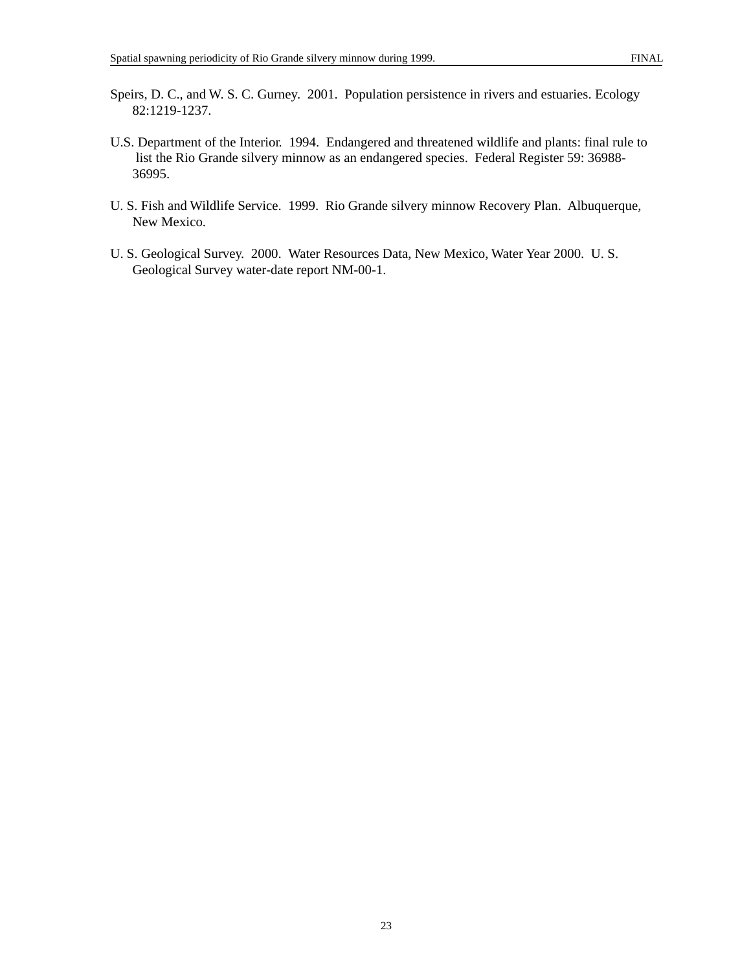- Speirs, D. C., and W. S. C. Gurney. 2001. Population persistence in rivers and estuaries. Ecology 82:1219-1237.
- U.S. Department of the Interior. 1994. Endangered and threatened wildlife and plants: final rule to list the Rio Grande silvery minnow as an endangered species. Federal Register 59: 36988- 36995.
- U. S. Fish and Wildlife Service. 1999. Rio Grande silvery minnow Recovery Plan. Albuquerque, New Mexico.
- U. S. Geological Survey. 2000. Water Resources Data, New Mexico, Water Year 2000. U. S. Geological Survey water-date report NM-00-1.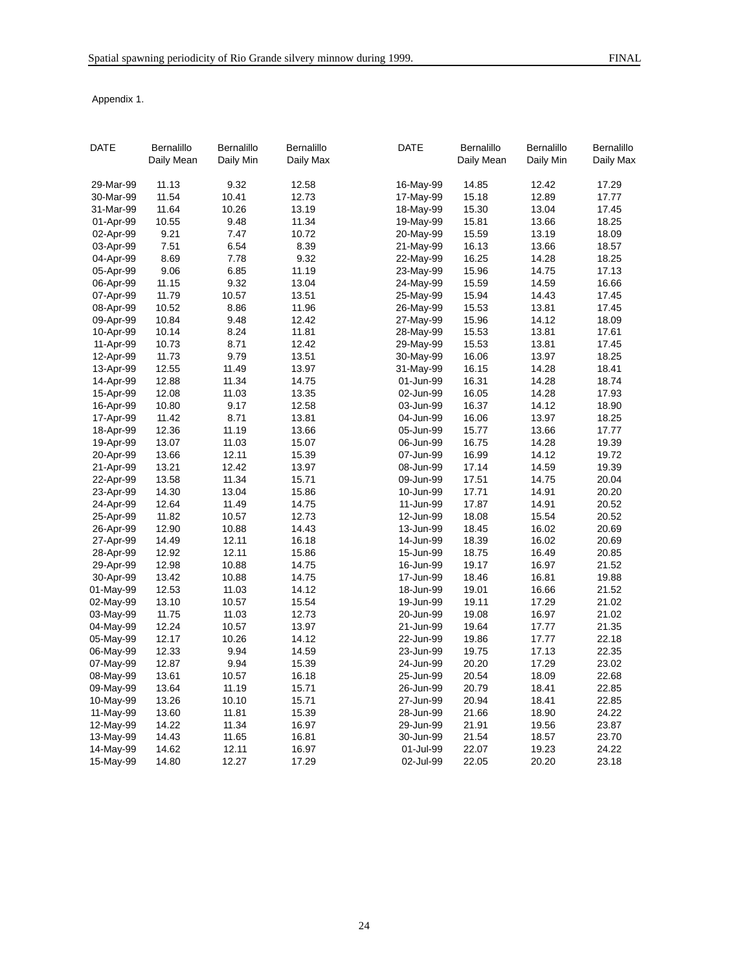| DATE                   | Bernalillo<br>Daily Mean | Bernalillo<br>Daily Min | Bernalillo<br>Daily Max | <b>DATE</b>            | Bernalillo<br>Daily Mean | Bernalillo<br>Daily Min | Bernalillo<br>Daily Max |
|------------------------|--------------------------|-------------------------|-------------------------|------------------------|--------------------------|-------------------------|-------------------------|
| 29-Mar-99              | 11.13                    | 9.32                    | 12.58                   | 16-May-99              | 14.85                    | 12.42                   | 17.29                   |
| 30-Mar-99              | 11.54                    | 10.41                   | 12.73                   | 17-May-99              | 15.18                    | 12.89                   | 17.77                   |
| 31-Mar-99              | 11.64                    | 10.26                   | 13.19                   | 18-May-99              | 15.30                    | 13.04                   | 17.45                   |
| 01-Apr-99              | 10.55                    | 9.48                    | 11.34                   | 19-May-99              | 15.81                    | 13.66                   | 18.25                   |
| 02-Apr-99              | 9.21                     | 7.47                    | 10.72                   | 20-May-99              | 15.59                    | 13.19                   | 18.09                   |
| 03-Apr-99              | 7.51                     | 6.54                    | 8.39                    | 21-May-99              | 16.13                    | 13.66                   | 18.57                   |
| 04-Apr-99              | 8.69                     | 7.78                    | 9.32                    | 22-May-99              | 16.25                    | 14.28                   | 18.25                   |
| 05-Apr-99              | 9.06                     | 6.85                    | 11.19                   | 23-May-99              | 15.96                    | 14.75                   | 17.13                   |
| 06-Apr-99              | 11.15                    | 9.32                    | 13.04                   | 24-May-99              | 15.59                    | 14.59                   | 16.66                   |
| 07-Apr-99              | 11.79                    | 10.57                   | 13.51                   | 25-May-99              | 15.94                    | 14.43                   | 17.45                   |
| 08-Apr-99              | 10.52                    | 8.86                    | 11.96                   | 26-May-99              | 15.53                    | 13.81                   | 17.45                   |
| 09-Apr-99              | 10.84                    | 9.48                    | 12.42                   | 27-May-99              | 15.96                    | 14.12                   | 18.09                   |
| 10-Apr-99              | 10.14                    | 8.24                    | 11.81                   | 28-May-99              | 15.53                    | 13.81                   | 17.61                   |
| 11-Apr-99              | 10.73                    | 8.71                    | 12.42                   | 29-May-99              | 15.53                    | 13.81                   | 17.45                   |
| 12-Apr-99              | 11.73                    | 9.79                    | 13.51                   | 30-May-99              | 16.06                    | 13.97                   | 18.25                   |
| 13-Apr-99              | 12.55                    | 11.49                   | 13.97                   | 31-May-99              | 16.15                    | 14.28                   | 18.41                   |
| 14-Apr-99              | 12.88                    | 11.34                   | 14.75                   | 01-Jun-99              | 16.31                    | 14.28                   | 18.74                   |
| 15-Apr-99              | 12.08                    | 11.03                   | 13.35                   | 02-Jun-99              | 16.05                    | 14.28                   | 17.93                   |
| 16-Apr-99              | 10.80                    | 9.17                    | 12.58                   | 03-Jun-99              | 16.37                    | 14.12                   | 18.90                   |
| 17-Apr-99              | 11.42                    | 8.71                    | 13.81                   | 04-Jun-99              | 16.06                    | 13.97                   | 18.25                   |
| 18-Apr-99              | 12.36                    | 11.19                   | 13.66                   | 05-Jun-99              | 15.77                    | 13.66                   | 17.77                   |
| 19-Apr-99              | 13.07                    | 11.03                   | 15.07                   | 06-Jun-99              | 16.75                    | 14.28                   | 19.39                   |
| 20-Apr-99              | 13.66                    | 12.11                   | 15.39                   | 07-Jun-99              | 16.99                    | 14.12                   | 19.72                   |
| 21-Apr-99              | 13.21                    | 12.42                   | 13.97                   | 08-Jun-99              | 17.14                    | 14.59                   | 19.39                   |
| 22-Apr-99              | 13.58                    | 11.34                   | 15.71                   | 09-Jun-99              | 17.51                    | 14.75                   | 20.04                   |
| 23-Apr-99              | 14.30                    | 13.04                   | 15.86                   | 10-Jun-99              | 17.71                    | 14.91                   | 20.20                   |
| 24-Apr-99              | 12.64                    | 11.49                   | 14.75                   | 11-Jun-99              | 17.87                    | 14.91                   | 20.52                   |
| 25-Apr-99              | 11.82                    | 10.57                   | 12.73                   | 12-Jun-99              | 18.08                    | 15.54                   | 20.52                   |
| 26-Apr-99              | 12.90                    | 10.88                   | 14.43                   | 13-Jun-99              | 18.45                    | 16.02                   | 20.69                   |
| 27-Apr-99              | 14.49                    | 12.11                   | 16.18                   | 14-Jun-99              | 18.39                    | 16.02                   | 20.69                   |
| 28-Apr-99              | 12.92                    | 12.11                   | 15.86                   | 15-Jun-99              | 18.75                    | 16.49                   | 20.85                   |
| 29-Apr-99              | 12.98                    | 10.88                   | 14.75                   | 16-Jun-99              | 19.17                    | 16.97                   | 21.52                   |
| 30-Apr-99              | 13.42                    | 10.88                   | 14.75                   | 17-Jun-99              | 18.46                    | 16.81                   | 19.88                   |
| 01-May-99              | 12.53                    | 11.03                   | 14.12                   | 18-Jun-99              | 19.01                    | 16.66                   | 21.52                   |
| 02-May-99              | 13.10                    | 10.57                   | 15.54                   | 19-Jun-99              | 19.11                    | 17.29                   | 21.02                   |
| 03-May-99              | 11.75                    | 11.03                   | 12.73                   | 20-Jun-99              | 19.08                    | 16.97                   | 21.02                   |
| 04-May-99              | 12.24                    | 10.57                   | 13.97                   | 21-Jun-99              | 19.64                    | 17.77                   | 21.35                   |
| 05-May-99              | 12.17                    | 10.26                   | 14.12                   | 22-Jun-99              | 19.86                    | 17.77                   | 22.18                   |
| 06-May-99              | 12.33                    | 9.94                    | 14.59                   | 23-Jun-99              | 19.75                    | 17.13                   | 22.35                   |
| 07-May-99              | 12.87                    | 9.94                    | 15.39                   | 24-Jun-99              | 20.20                    | 17.29                   | 23.02                   |
| 08-May-99              | 13.61                    | 10.57                   | 16.18                   | 25-Jun-99              | 20.54                    | 18.09                   | 22.68                   |
| 09-May-99              | 13.64                    | 11.19                   | 15.71                   | 26-Jun-99              | 20.79                    | 18.41                   | 22.85                   |
| 10-May-99              | 13.26                    | 10.10<br>11.81          | 15.71                   | 27-Jun-99              | 20.94                    | 18.41                   | 22.85                   |
| 11-May-99              | 13.60                    |                         | 15.39                   | 28-Jun-99              | 21.66                    | 18.90                   | 24.22                   |
| 12-May-99<br>13-May-99 | 14.22<br>14.43           | 11.34<br>11.65          | 16.97<br>16.81          | 29-Jun-99<br>30-Jun-99 | 21.91<br>21.54           | 19.56<br>18.57          | 23.87<br>23.70          |
| 14-May-99              | 14.62                    | 12.11                   | 16.97                   | 01-Jul-99              | 22.07                    | 19.23                   | 24.22                   |
|                        |                          |                         |                         |                        |                          |                         |                         |
| 15-May-99              | 14.80                    | 12.27                   | 17.29                   | 02-Jul-99              | 22.05                    | 20.20                   | 23.18                   |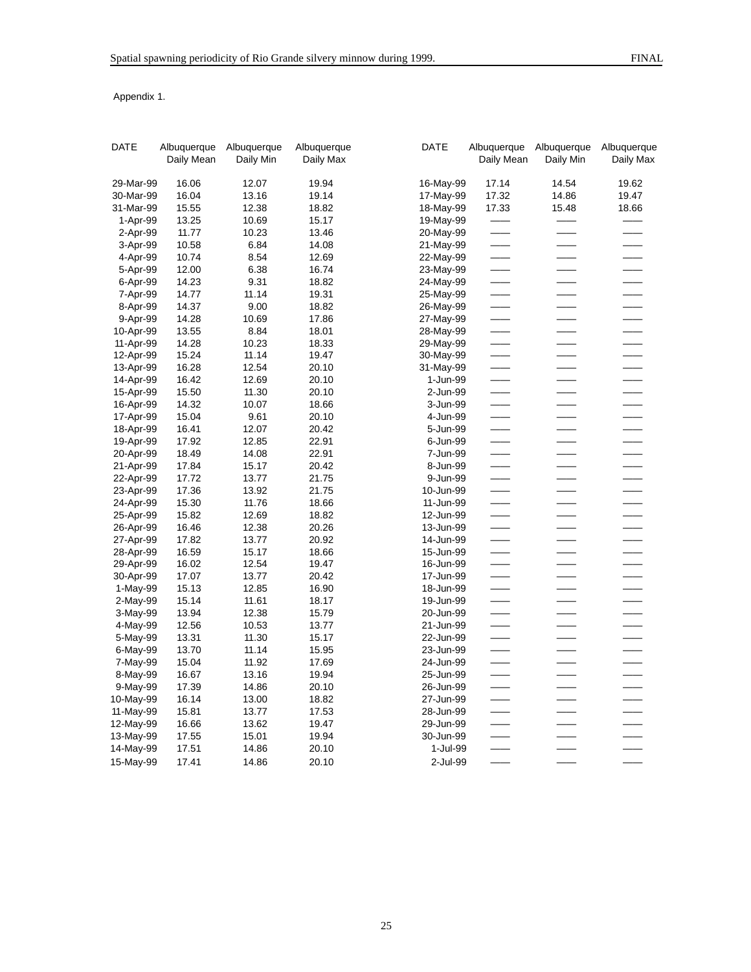| <b>DATE</b> | Albuquerque<br>Daily Mean | Albuquerque<br>Daily Min | Albuquerque<br>Daily Max | DATE      | Albuquerque<br>Daily Mean                     | Albuquerque<br>Daily Min | Albuquerque<br>Daily Max |
|-------------|---------------------------|--------------------------|--------------------------|-----------|-----------------------------------------------|--------------------------|--------------------------|
| 29-Mar-99   | 16.06                     | 12.07                    | 19.94                    | 16-May-99 | 17.14                                         | 14.54                    | 19.62                    |
| 30-Mar-99   | 16.04                     | 13.16                    | 19.14                    | 17-May-99 | 17.32                                         | 14.86                    | 19.47                    |
| 31-Mar-99   | 15.55                     | 12.38                    | 18.82                    | 18-May-99 | 17.33                                         | 15.48                    | 18.66                    |
| 1-Apr-99    | 13.25                     | 10.69                    | 15.17                    | 19-May-99 |                                               |                          |                          |
| 2-Apr-99    | 11.77                     | 10.23                    | 13.46                    | 20-May-99 |                                               |                          |                          |
| 3-Apr-99    | 10.58                     | 6.84                     | 14.08                    | 21-May-99 |                                               |                          |                          |
| 4-Apr-99    | 10.74                     | 8.54                     | 12.69                    | 22-May-99 |                                               |                          |                          |
| 5-Apr-99    | 12.00                     | 6.38                     | 16.74                    | 23-May-99 |                                               |                          |                          |
| 6-Apr-99    | 14.23                     | 9.31                     | 18.82                    | 24-May-99 | $\frac{1}{1}$                                 |                          |                          |
| 7-Apr-99    | 14.77                     | 11.14                    | 19.31                    | 25-May-99 |                                               |                          |                          |
| 8-Apr-99    | 14.37                     | 9.00                     | 18.82                    | 26-May-99 | $\qquad \qquad$                               |                          | $\qquad \qquad$          |
| 9-Apr-99    | 14.28                     | 10.69                    | 17.86                    | 27-May-99 |                                               |                          |                          |
| 10-Apr-99   | 13.55                     | 8.84                     | 18.01                    | 28-May-99 | $\frac{1}{1}$                                 |                          |                          |
| 11-Apr-99   | 14.28                     | 10.23                    | 18.33                    | 29-May-99 |                                               |                          | $\overline{\phantom{a}}$ |
| 12-Apr-99   | 15.24                     | 11.14                    | 19.47                    | 30-May-99 | $\qquad \qquad$                               |                          |                          |
| 13-Apr-99   | 16.28                     | 12.54                    | 20.10                    | 31-May-99 | $\qquad \qquad$                               |                          | $\overline{\phantom{0}}$ |
| 14-Apr-99   | 16.42                     | 12.69                    | 20.10                    | 1-Jun-99  |                                               |                          | $\frac{1}{1}$            |
| 15-Apr-99   | 15.50                     | 11.30                    | 20.10                    | 2-Jun-99  | $\frac{1}{1}$                                 |                          |                          |
| 16-Apr-99   | 14.32                     | 10.07                    | 18.66                    | 3-Jun-99  | $\qquad \qquad \overbrace{\qquad \qquad }^{}$ |                          | $\qquad \qquad -$        |
| 17-Apr-99   | 15.04                     | 9.61                     | 20.10                    | 4-Jun-99  | $\qquad \qquad$                               |                          |                          |
| 18-Apr-99   | 16.41                     | 12.07                    | 20.42                    | 5-Jun-99  |                                               |                          |                          |
| 19-Apr-99   | 17.92                     | 12.85                    | 22.91                    | 6-Jun-99  | $\qquad \qquad$                               |                          |                          |
| 20-Apr-99   | 18.49                     | 14.08                    | 22.91                    | 7-Jun-99  |                                               |                          |                          |
| 21-Apr-99   | 17.84                     | 15.17                    | 20.42                    | 8-Jun-99  | $\frac{1}{1}$                                 |                          | $\overline{\phantom{0}}$ |
| 22-Apr-99   | 17.72                     | 13.77                    | 21.75                    | 9-Jun-99  |                                               |                          |                          |
| 23-Apr-99   | 17.36                     | 13.92                    | 21.75                    | 10-Jun-99 | $\overline{\phantom{0}}$                      | $\overline{\phantom{0}}$ | $\overline{\phantom{0}}$ |
| 24-Apr-99   | 15.30                     | 11.76                    | 18.66                    | 11-Jun-99 |                                               |                          |                          |
| 25-Apr-99   | 15.82                     | 12.69                    | 18.82                    | 12-Jun-99 |                                               |                          |                          |
| 26-Apr-99   | 16.46                     | 12.38                    | 20.26                    | 13-Jun-99 |                                               |                          | $\overline{\phantom{0}}$ |
| 27-Apr-99   | 17.82                     | 13.77                    | 20.92                    | 14-Jun-99 |                                               |                          |                          |
| 28-Apr-99   | 16.59                     | 15.17                    | 18.66                    | 15-Jun-99 |                                               | $\overline{\phantom{a}}$ | $\frac{1}{1}$            |
| 29-Apr-99   | 16.02                     | 12.54                    | 19.47                    | 16-Jun-99 |                                               |                          |                          |
| 30-Apr-99   | 17.07                     | 13.77                    | 20.42                    | 17-Jun-99 | $\frac{1}{1}$                                 |                          | $\overline{\phantom{0}}$ |
| 1-May-99    | 15.13                     | 12.85                    | 16.90                    | 18-Jun-99 |                                               |                          |                          |
| 2-May-99    | 15.14                     | 11.61                    | 18.17                    | 19-Jun-99 | $\frac{1}{2}$                                 |                          |                          |
| 3-May-99    | 13.94                     | 12.38                    | 15.79                    | 20-Jun-99 |                                               |                          |                          |
| 4-May-99    | 12.56                     | 10.53                    | 13.77                    | 21-Jun-99 | $\frac{1}{1}$                                 |                          | $\frac{1}{1}$            |
| 5-May-99    | 13.31                     | 11.30                    | 15.17                    | 22-Jun-99 |                                               |                          |                          |
| 6-May-99    | 13.70                     | 11.14                    | 15.95                    | 23-Jun-99 |                                               |                          |                          |
| 7-May-99    | 15.04                     | 11.92                    | 17.69                    | 24-Jun-99 |                                               |                          |                          |
| 8-May-99    | 16.67                     | 13.16                    | 19.94                    | 25-Jun-99 | $\frac{1}{1}$                                 |                          |                          |
| 9-May-99    | 17.39                     | 14.86                    | 20.10                    | 26-Jun-99 | $\qquad \qquad$                               |                          |                          |
| 10-May-99   | 16.14                     | 13.00                    | 18.82                    | 27-Jun-99 |                                               |                          |                          |
| 11-May-99   | 15.81                     | 13.77                    | 17.53                    | 28-Jun-99 | $\frac{1}{1}$                                 | $\frac{1}{1}$            | $\overline{\phantom{0}}$ |
| 12-May-99   | 16.66                     | 13.62                    | 19.47                    | 29-Jun-99 |                                               |                          | $\overline{\phantom{0}}$ |
| 13-May-99   | 17.55                     | 15.01                    | 19.94                    | 30-Jun-99 |                                               |                          |                          |
| 14-May-99   | 17.51                     | 14.86                    | 20.10                    | 1-Jul-99  |                                               |                          |                          |
| 15-May-99   | 17.41                     | 14.86                    | 20.10                    | 2-Jul-99  |                                               |                          |                          |
|             |                           |                          |                          |           |                                               |                          |                          |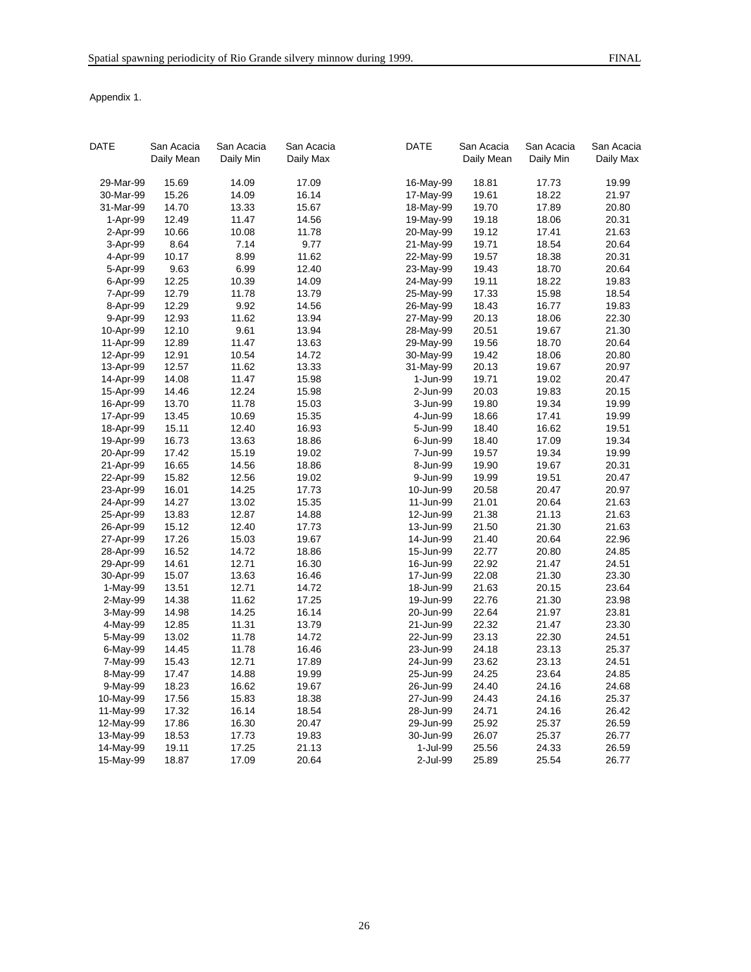| DATE      | San Acacia<br>Daily Mean | San Acacia<br>Daily Min | San Acacia<br>Daily Max | DATE      | San Acacia<br>Daily Mean | San Acacia<br>Daily Min | San Acacia<br>Daily Max |
|-----------|--------------------------|-------------------------|-------------------------|-----------|--------------------------|-------------------------|-------------------------|
|           |                          |                         |                         |           |                          |                         |                         |
| 29-Mar-99 | 15.69                    | 14.09                   | 17.09                   | 16-May-99 | 18.81                    | 17.73                   | 19.99                   |
| 30-Mar-99 | 15.26                    | 14.09                   | 16.14                   | 17-May-99 | 19.61                    | 18.22                   | 21.97                   |
| 31-Mar-99 | 14.70                    | 13.33                   | 15.67                   | 18-May-99 | 19.70                    | 17.89                   | 20.80                   |
| 1-Apr-99  | 12.49                    | 11.47                   | 14.56                   | 19-May-99 | 19.18                    | 18.06                   | 20.31                   |
| 2-Apr-99  | 10.66                    | 10.08                   | 11.78                   | 20-May-99 | 19.12                    | 17.41                   | 21.63                   |
| 3-Apr-99  | 8.64                     | 7.14                    | 9.77                    | 21-May-99 | 19.71                    | 18.54                   | 20.64                   |
| 4-Apr-99  | 10.17                    | 8.99                    | 11.62                   | 22-May-99 | 19.57                    | 18.38                   | 20.31                   |
| 5-Apr-99  | 9.63                     | 6.99                    | 12.40                   | 23-May-99 | 19.43                    | 18.70                   | 20.64                   |
| 6-Apr-99  | 12.25                    | 10.39                   | 14.09                   | 24-May-99 | 19.11                    | 18.22                   | 19.83                   |
| 7-Apr-99  | 12.79                    | 11.78                   | 13.79                   | 25-May-99 | 17.33                    | 15.98                   | 18.54                   |
| 8-Apr-99  | 12.29                    | 9.92                    | 14.56                   | 26-May-99 | 18.43                    | 16.77                   | 19.83                   |
| 9-Apr-99  | 12.93                    | 11.62                   | 13.94                   | 27-May-99 | 20.13                    | 18.06                   | 22.30                   |
| 10-Apr-99 | 12.10                    | 9.61                    | 13.94                   | 28-May-99 | 20.51                    | 19.67                   | 21.30                   |
| 11-Apr-99 | 12.89                    | 11.47                   | 13.63                   | 29-May-99 | 19.56                    | 18.70                   | 20.64                   |
| 12-Apr-99 | 12.91                    | 10.54                   | 14.72                   | 30-May-99 | 19.42                    | 18.06                   | 20.80                   |
| 13-Apr-99 | 12.57                    | 11.62                   | 13.33                   | 31-May-99 | 20.13                    | 19.67                   | 20.97                   |
| 14-Apr-99 | 14.08                    | 11.47                   | 15.98                   | 1-Jun-99  | 19.71                    | 19.02                   | 20.47                   |
| 15-Apr-99 | 14.46                    | 12.24                   | 15.98                   | 2-Jun-99  | 20.03                    | 19.83                   | 20.15                   |
| 16-Apr-99 | 13.70                    | 11.78                   | 15.03                   | 3-Jun-99  | 19.80                    | 19.34                   | 19.99                   |
| 17-Apr-99 | 13.45                    | 10.69                   | 15.35                   | 4-Jun-99  | 18.66                    | 17.41                   | 19.99                   |
| 18-Apr-99 | 15.11                    | 12.40                   | 16.93                   | 5-Jun-99  | 18.40                    | 16.62                   | 19.51                   |
| 19-Apr-99 | 16.73                    | 13.63                   | 18.86                   | 6-Jun-99  | 18.40                    | 17.09                   | 19.34                   |
| 20-Apr-99 | 17.42                    | 15.19                   | 19.02                   | 7-Jun-99  | 19.57                    | 19.34                   | 19.99                   |
| 21-Apr-99 | 16.65                    | 14.56                   | 18.86                   | 8-Jun-99  | 19.90                    | 19.67                   | 20.31                   |
| 22-Apr-99 | 15.82                    | 12.56                   | 19.02                   | 9-Jun-99  | 19.99                    | 19.51                   | 20.47                   |
| 23-Apr-99 | 16.01                    | 14.25                   | 17.73                   | 10-Jun-99 | 20.58                    | 20.47                   | 20.97                   |
| 24-Apr-99 | 14.27                    | 13.02                   | 15.35                   | 11-Jun-99 | 21.01                    | 20.64                   | 21.63                   |
| 25-Apr-99 | 13.83                    | 12.87                   | 14.88                   | 12-Jun-99 | 21.38                    | 21.13                   | 21.63                   |
| 26-Apr-99 | 15.12                    | 12.40                   | 17.73                   | 13-Jun-99 | 21.50                    | 21.30                   | 21.63                   |
| 27-Apr-99 | 17.26                    | 15.03                   | 19.67                   | 14-Jun-99 | 21.40                    | 20.64                   | 22.96                   |
| 28-Apr-99 | 16.52                    | 14.72                   | 18.86                   | 15-Jun-99 | 22.77                    | 20.80                   | 24.85                   |
| 29-Apr-99 | 14.61                    | 12.71                   | 16.30                   | 16-Jun-99 | 22.92                    | 21.47                   | 24.51                   |
| 30-Apr-99 | 15.07                    | 13.63                   | 16.46                   | 17-Jun-99 | 22.08                    | 21.30                   | 23.30                   |
| 1-May-99  | 13.51                    | 12.71                   | 14.72                   | 18-Jun-99 | 21.63                    | 20.15                   | 23.64                   |
| 2-May-99  | 14.38                    | 11.62                   | 17.25                   | 19-Jun-99 | 22.76                    | 21.30                   | 23.98                   |
| 3-May-99  | 14.98                    | 14.25                   | 16.14                   | 20-Jun-99 | 22.64                    | 21.97                   | 23.81                   |
| 4-May-99  | 12.85                    | 11.31                   | 13.79                   | 21-Jun-99 | 22.32                    | 21.47                   | 23.30                   |
| 5-May-99  | 13.02                    | 11.78                   | 14.72                   | 22-Jun-99 | 23.13                    | 22.30                   | 24.51                   |
| 6-May-99  | 14.45                    | 11.78                   | 16.46                   | 23-Jun-99 | 24.18                    | 23.13                   | 25.37                   |
| 7-May-99  | 15.43                    | 12.71                   | 17.89                   | 24-Jun-99 | 23.62                    | 23.13                   | 24.51                   |
| 8-May-99  | 17.47                    | 14.88                   | 19.99                   | 25-Jun-99 | 24.25                    | 23.64                   | 24.85                   |
| 9-May-99  | 18.23                    | 16.62                   | 19.67                   | 26-Jun-99 | 24.40                    | 24.16                   | 24.68                   |
| 10-May-99 | 17.56                    | 15.83                   | 18.38                   | 27-Jun-99 | 24.43                    | 24.16                   | 25.37                   |
| 11-May-99 | 17.32                    | 16.14                   | 18.54                   | 28-Jun-99 | 24.71                    | 24.16                   | 26.42                   |
| 12-May-99 | 17.86                    | 16.30                   | 20.47                   | 29-Jun-99 | 25.92                    | 25.37                   | 26.59                   |
| 13-May-99 | 18.53                    | 17.73                   | 19.83                   | 30-Jun-99 | 26.07                    | 25.37                   | 26.77                   |
| 14-May-99 | 19.11                    | 17.25                   | 21.13                   | 1-Jul-99  | 25.56                    | 24.33                   | 26.59                   |
| 15-May-99 | 18.87                    | 17.09                   | 20.64                   | 2-Jul-99  | 25.89                    | 25.54                   | 26.77                   |
|           |                          |                         |                         |           |                          |                         |                         |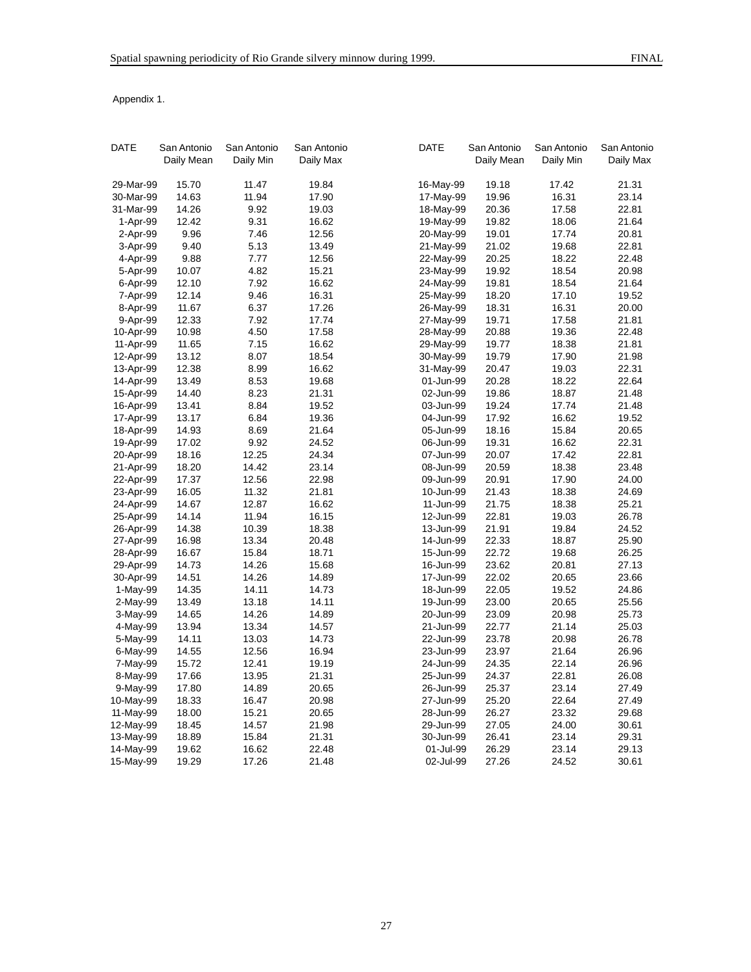| DATE      | San Antonio<br>Daily Mean | San Antonio<br>Daily Min | San Antonio<br>Daily Max | <b>DATE</b> | San Antonio<br>Daily Mean | San Antonio<br>Daily Min | San Antonio<br>Daily Max |
|-----------|---------------------------|--------------------------|--------------------------|-------------|---------------------------|--------------------------|--------------------------|
| 29-Mar-99 | 15.70                     | 11.47                    | 19.84                    | 16-May-99   | 19.18                     | 17.42                    | 21.31                    |
| 30-Mar-99 | 14.63                     | 11.94                    | 17.90                    | 17-May-99   | 19.96                     | 16.31                    | 23.14                    |
| 31-Mar-99 | 14.26                     | 9.92                     | 19.03                    | 18-May-99   | 20.36                     | 17.58                    | 22.81                    |
| 1-Apr-99  | 12.42                     | 9.31                     | 16.62                    | 19-May-99   | 19.82                     | 18.06                    | 21.64                    |
| 2-Apr-99  | 9.96                      | 7.46                     | 12.56                    | 20-May-99   | 19.01                     | 17.74                    | 20.81                    |
| 3-Apr-99  | 9.40                      | 5.13                     | 13.49                    | 21-May-99   | 21.02                     | 19.68                    | 22.81                    |
| 4-Apr-99  | 9.88                      | 7.77                     | 12.56                    | 22-May-99   | 20.25                     | 18.22                    | 22.48                    |
| 5-Apr-99  | 10.07                     | 4.82                     | 15.21                    | 23-May-99   | 19.92                     | 18.54                    | 20.98                    |
| 6-Apr-99  | 12.10                     | 7.92                     | 16.62                    | 24-May-99   | 19.81                     | 18.54                    | 21.64                    |
| 7-Apr-99  | 12.14                     | 9.46                     | 16.31                    | 25-May-99   | 18.20                     | 17.10                    | 19.52                    |
| 8-Apr-99  | 11.67                     | 6.37                     | 17.26                    | 26-May-99   | 18.31                     | 16.31                    | 20.00                    |
| 9-Apr-99  | 12.33                     | 7.92                     | 17.74                    | 27-May-99   | 19.71                     | 17.58                    | 21.81                    |
| 10-Apr-99 | 10.98                     | 4.50                     | 17.58                    | 28-May-99   | 20.88                     | 19.36                    | 22.48                    |
| 11-Apr-99 | 11.65                     | 7.15                     | 16.62                    | 29-May-99   | 19.77                     | 18.38                    | 21.81                    |
| 12-Apr-99 | 13.12                     | 8.07                     | 18.54                    | 30-May-99   | 19.79                     | 17.90                    | 21.98                    |
| 13-Apr-99 | 12.38                     | 8.99                     | 16.62                    | 31-May-99   | 20.47                     | 19.03                    | 22.31                    |
| 14-Apr-99 | 13.49                     | 8.53                     | 19.68                    | 01-Jun-99   | 20.28                     | 18.22                    | 22.64                    |
| 15-Apr-99 | 14.40                     | 8.23                     | 21.31                    | 02-Jun-99   | 19.86                     | 18.87                    | 21.48                    |
| 16-Apr-99 | 13.41                     | 8.84                     | 19.52                    | 03-Jun-99   | 19.24                     | 17.74                    | 21.48                    |
| 17-Apr-99 | 13.17                     | 6.84                     | 19.36                    | 04-Jun-99   | 17.92                     | 16.62                    | 19.52                    |
| 18-Apr-99 | 14.93                     | 8.69                     | 21.64                    | 05-Jun-99   | 18.16                     | 15.84                    | 20.65                    |
| 19-Apr-99 | 17.02                     | 9.92                     | 24.52                    | 06-Jun-99   | 19.31                     | 16.62                    | 22.31                    |
| 20-Apr-99 | 18.16                     | 12.25                    | 24.34                    | 07-Jun-99   | 20.07                     | 17.42                    | 22.81                    |
| 21-Apr-99 | 18.20                     | 14.42                    | 23.14                    | 08-Jun-99   | 20.59                     | 18.38                    | 23.48                    |
| 22-Apr-99 | 17.37                     | 12.56                    | 22.98                    | 09-Jun-99   | 20.91                     | 17.90                    | 24.00                    |
| 23-Apr-99 | 16.05                     | 11.32                    | 21.81                    | 10-Jun-99   | 21.43                     | 18.38                    | 24.69                    |
| 24-Apr-99 | 14.67                     | 12.87                    | 16.62                    | 11-Jun-99   | 21.75                     | 18.38                    | 25.21                    |
| 25-Apr-99 | 14.14                     | 11.94                    | 16.15                    | 12-Jun-99   | 22.81                     | 19.03                    | 26.78                    |
| 26-Apr-99 | 14.38                     | 10.39                    | 18.38                    | 13-Jun-99   | 21.91                     | 19.84                    | 24.52                    |
| 27-Apr-99 | 16.98                     | 13.34                    | 20.48                    | 14-Jun-99   | 22.33                     | 18.87                    | 25.90                    |
| 28-Apr-99 | 16.67                     | 15.84                    | 18.71                    | 15-Jun-99   | 22.72                     | 19.68                    | 26.25                    |
| 29-Apr-99 | 14.73                     | 14.26                    | 15.68                    | 16-Jun-99   | 23.62                     | 20.81                    | 27.13                    |
| 30-Apr-99 | 14.51                     | 14.26                    | 14.89                    | 17-Jun-99   | 22.02                     | 20.65                    | 23.66                    |
| 1-May-99  | 14.35                     | 14.11                    | 14.73                    | 18-Jun-99   | 22.05                     | 19.52                    | 24.86                    |
| 2-May-99  | 13.49                     | 13.18                    | 14.11                    | 19-Jun-99   | 23.00                     | 20.65                    | 25.56                    |
| 3-May-99  | 14.65                     | 14.26                    | 14.89                    | 20-Jun-99   | 23.09                     | 20.98                    | 25.73                    |
| 4-May-99  | 13.94                     | 13.34                    | 14.57                    | 21-Jun-99   | 22.77                     | 21.14                    | 25.03                    |
| 5-May-99  | 14.11                     | 13.03                    | 14.73                    | 22-Jun-99   | 23.78                     | 20.98                    | 26.78                    |
| 6-May-99  | 14.55                     | 12.56                    | 16.94                    | 23-Jun-99   | 23.97                     | 21.64                    | 26.96                    |
| 7-May-99  | 15.72                     | 12.41                    | 19.19                    | 24-Jun-99   | 24.35                     | 22.14                    | 26.96                    |
| 8-May-99  | 17.66                     | 13.95                    | 21.31                    | 25-Jun-99   | 24.37                     | 22.81                    | 26.08                    |
| 9-May-99  | 17.80                     | 14.89                    | 20.65                    | 26-Jun-99   | 25.37                     | 23.14                    | 27.49                    |
| 10-May-99 | 18.33                     | 16.47                    | 20.98                    | 27-Jun-99   | 25.20                     | 22.64                    | 27.49                    |
| 11-May-99 | 18.00                     | 15.21                    | 20.65                    | 28-Jun-99   | 26.27                     | 23.32                    | 29.68                    |
| 12-May-99 | 18.45                     | 14.57                    | 21.98                    | 29-Jun-99   | 27.05                     | 24.00                    | 30.61                    |
| 13-May-99 | 18.89                     | 15.84                    | 21.31                    | 30-Jun-99   | 26.41                     | 23.14                    | 29.31                    |
| 14-May-99 | 19.62                     | 16.62                    | 22.48                    | 01-Jul-99   | 26.29                     | 23.14                    | 29.13                    |
| 15-May-99 | 19.29                     | 17.26                    | 21.48                    | 02-Jul-99   | 27.26                     | 24.52                    | 30.61                    |